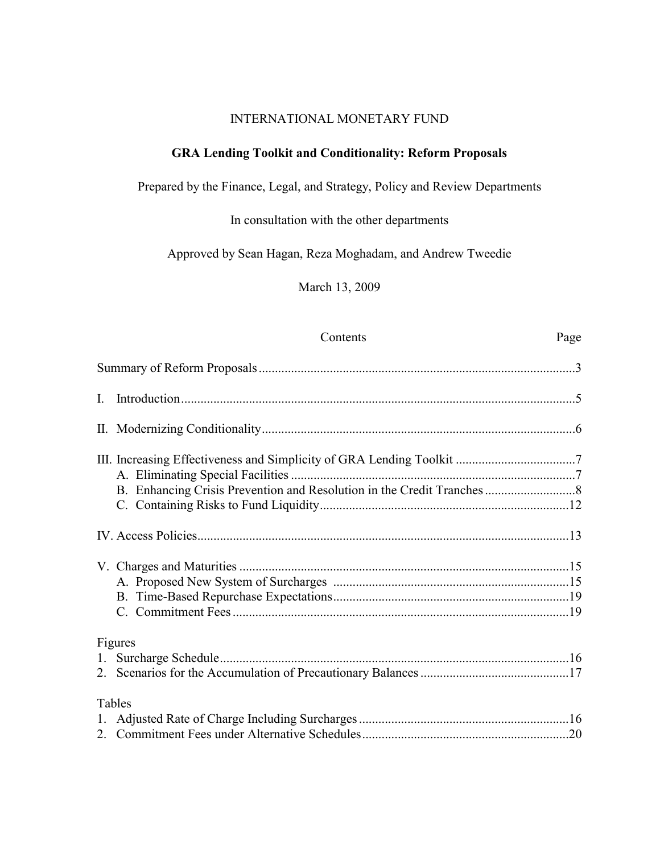## INTERNATIONAL MONETARY FUND

## **GRA Lending Toolkit and Conditionality: Reform Proposals**

Prepared by the Finance, Legal, and Strategy, Policy and Review Departments

In consultation with the other departments

Approved by Sean Hagan, Reza Moghadam, and Andrew Tweedie

March 13, 2009

## Contents Page

| $\mathbf{I}$ . |         |  |
|----------------|---------|--|
|                |         |  |
|                |         |  |
|                |         |  |
|                |         |  |
|                |         |  |
|                | Figures |  |
|                | Tables  |  |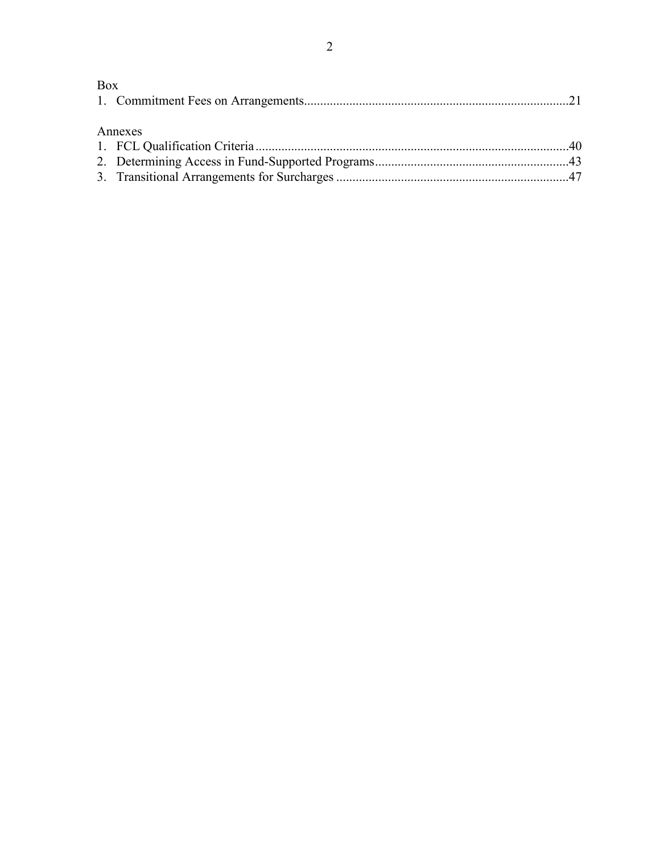## Box 1. Commitment Fees on Arrangements..................................................................................21 Annexes 1. FCL Qualification Criteria.................................................................................................40 2. Determining Access in Fund-Supported Programs............................................................43 3. Transitional Arrangements for Surcharges ........................................................................47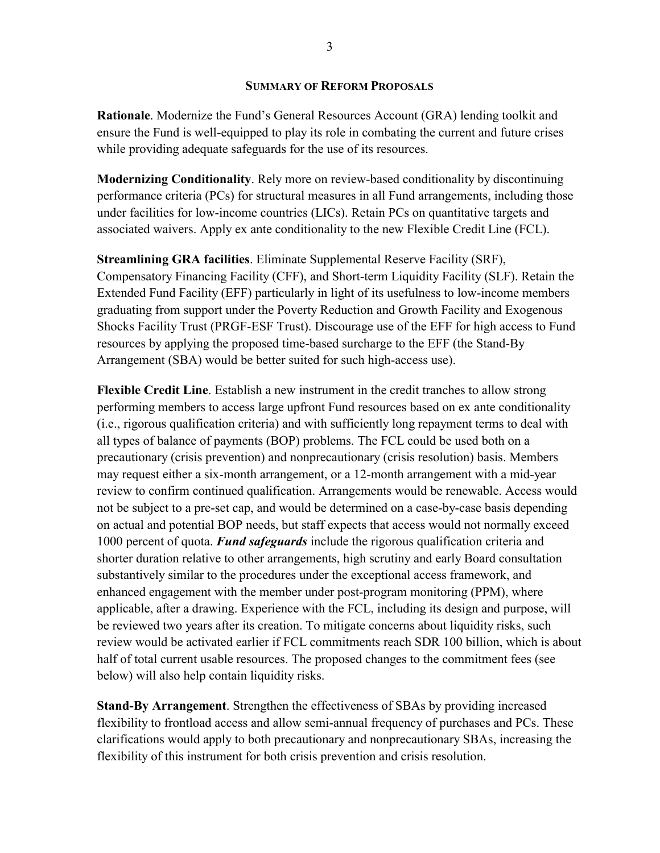#### **SUMMARY OF REFORM PROPOSALS**

**Rationale**. Modernize the Fund's General Resources Account (GRA) lending toolkit and ensure the Fund is well-equipped to play its role in combating the current and future crises while providing adequate safeguards for the use of its resources.

**Modernizing Conditionality**. Rely more on review-based conditionality by discontinuing performance criteria (PCs) for structural measures in all Fund arrangements, including those under facilities for low-income countries (LICs). Retain PCs on quantitative targets and associated waivers. Apply ex ante conditionality to the new Flexible Credit Line (FCL).

**Streamlining GRA facilities**. Eliminate Supplemental Reserve Facility (SRF), Compensatory Financing Facility (CFF), and Short-term Liquidity Facility (SLF). Retain the Extended Fund Facility (EFF) particularly in light of its usefulness to low-income members graduating from support under the Poverty Reduction and Growth Facility and Exogenous Shocks Facility Trust (PRGF-ESF Trust). Discourage use of the EFF for high access to Fund resources by applying the proposed time-based surcharge to the EFF (the Stand-By Arrangement (SBA) would be better suited for such high-access use).

**Flexible Credit Line**. Establish a new instrument in the credit tranches to allow strong performing members to access large upfront Fund resources based on ex ante conditionality (i.e., rigorous qualification criteria) and with sufficiently long repayment terms to deal with all types of balance of payments (BOP) problems. The FCL could be used both on a precautionary (crisis prevention) and nonprecautionary (crisis resolution) basis. Members may request either a six-month arrangement, or a 12-month arrangement with a mid-year review to confirm continued qualification. Arrangements would be renewable. Access would not be subject to a pre-set cap, and would be determined on a case-by-case basis depending on actual and potential BOP needs, but staff expects that access would not normally exceed 1000 percent of quota. *Fund safeguards* include the rigorous qualification criteria and shorter duration relative to other arrangements, high scrutiny and early Board consultation substantively similar to the procedures under the exceptional access framework, and enhanced engagement with the member under post-program monitoring (PPM), where applicable, after a drawing. Experience with the FCL, including its design and purpose, will be reviewed two years after its creation. To mitigate concerns about liquidity risks, such review would be activated earlier if FCL commitments reach SDR 100 billion, which is about half of total current usable resources. The proposed changes to the commitment fees (see below) will also help contain liquidity risks.

**Stand-By Arrangement**. Strengthen the effectiveness of SBAs by providing increased flexibility to frontload access and allow semi-annual frequency of purchases and PCs. These clarifications would apply to both precautionary and nonprecautionary SBAs, increasing the flexibility of this instrument for both crisis prevention and crisis resolution.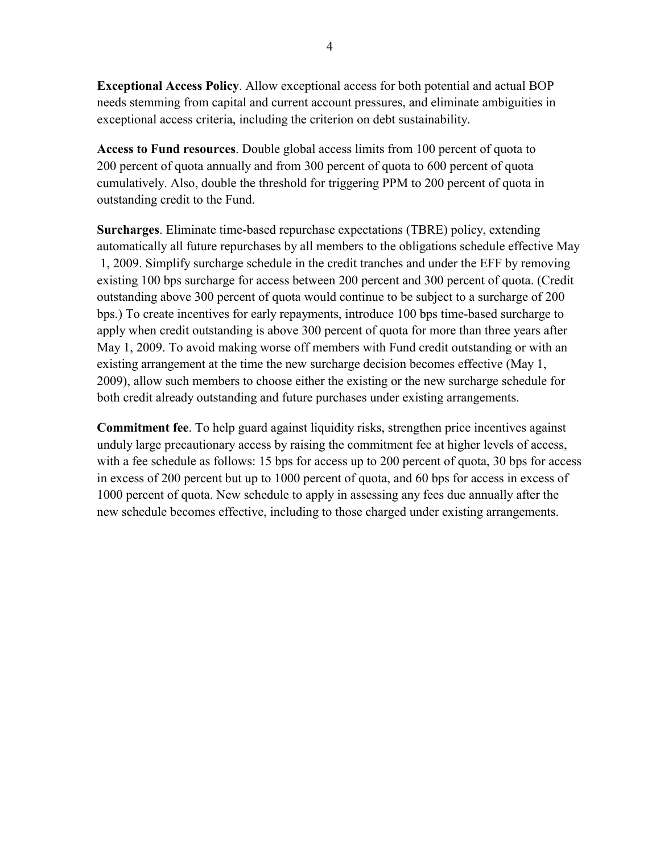**Exceptional Access Policy**. Allow exceptional access for both potential and actual BOP needs stemming from capital and current account pressures, and eliminate ambiguities in exceptional access criteria, including the criterion on debt sustainability.

**Access to Fund resources**. Double global access limits from 100 percent of quota to 200 percent of quota annually and from 300 percent of quota to 600 percent of quota cumulatively. Also, double the threshold for triggering PPM to 200 percent of quota in outstanding credit to the Fund.

**Surcharges**. Eliminate time-based repurchase expectations (TBRE) policy, extending automatically all future repurchases by all members to the obligations schedule effective May 1, 2009. Simplify surcharge schedule in the credit tranches and under the EFF by removing existing 100 bps surcharge for access between 200 percent and 300 percent of quota. (Credit outstanding above 300 percent of quota would continue to be subject to a surcharge of 200 bps.) To create incentives for early repayments, introduce 100 bps time-based surcharge to apply when credit outstanding is above 300 percent of quota for more than three years after May 1, 2009. To avoid making worse off members with Fund credit outstanding or with an existing arrangement at the time the new surcharge decision becomes effective (May 1, 2009), allow such members to choose either the existing or the new surcharge schedule for both credit already outstanding and future purchases under existing arrangements.

**Commitment fee**. To help guard against liquidity risks, strengthen price incentives against unduly large precautionary access by raising the commitment fee at higher levels of access, with a fee schedule as follows: 15 bps for access up to 200 percent of quota, 30 bps for access in excess of 200 percent but up to 1000 percent of quota, and 60 bps for access in excess of 1000 percent of quota. New schedule to apply in assessing any fees due annually after the new schedule becomes effective, including to those charged under existing arrangements.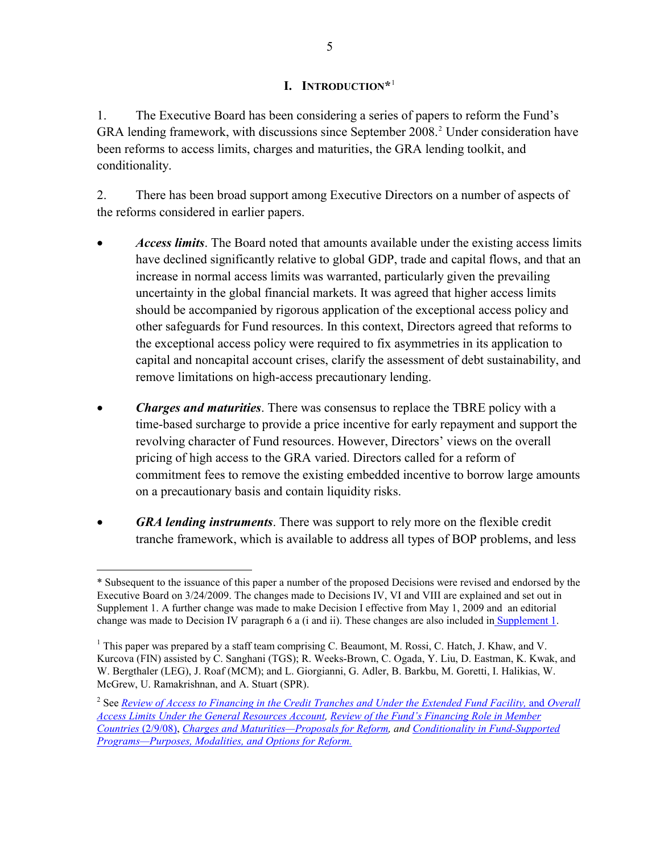## **I. INTRODUCTION\***[1](#page-4-0)

<span id="page-4-0"></span>1. The Executive Board has been considering a series of papers to reform the Fund's GRA lending framework, with discussions since September [2](#page-4-0)008.<sup>2</sup> Under consideration have been reforms to access limits, charges and maturities, the GRA lending toolkit, and conditionality.

2. There has been broad support among Executive Directors on a number of aspects of the reforms considered in earlier papers.

- *Access limits*. The Board noted that amounts available under the existing access limits have declined significantly relative to global GDP, trade and capital flows, and that an increase in normal access limits was warranted, particularly given the prevailing uncertainty in the global financial markets. It was agreed that higher access limits should be accompanied by rigorous application of the exceptional access policy and other safeguards for Fund resources. In this context, Directors agreed that reforms to the exceptional access policy were required to fix asymmetries in its application to capital and noncapital account crises, clarify the assessment of debt sustainability, and remove limitations on high-access precautionary lending.
- *Charges and maturities*. There was consensus to replace the TBRE policy with a time-based surcharge to provide a price incentive for early repayment and support the revolving character of Fund resources. However, Directors' views on the overall pricing of high access to the GRA varied. Directors called for a reform of commitment fees to remove the existing embedded incentive to borrow large amounts on a precautionary basis and contain liquidity risks.
- *GRA lending instruments*. There was support to rely more on the flexible credit tranche framework, which is available to address all types of BOP problems, and less

 $\overline{a}$ 

<sup>\*</sup> Subsequent to the issuance of this paper a number of the proposed Decisions were revised and endorsed by the Executive Board on 3/24/2009. The changes made to Decisions IV, VI and VIII are explained and set out in Supplement 1. A further change was made to make Decision I effective from May 1, 2009 and an editorial change was made to Decision IV paragraph 6 a (i and ii). These changes are also included in [Supplement 1](http://www.imf.org/external/np/pp/eng/2009/031909.pdf).

<sup>&</sup>lt;sup>1</sup> This paper was prepared by a staff team comprising C. Beaumont, M. Rossi, C. Hatch, J. Khaw, and V. Kurcova (FIN) assisted by C. Sanghani (TGS); R. Weeks-Brown, C. Ogada, Y. Liu, D. Eastman, K. Kwak, and W. Bergthaler (LEG), J. Roaf (MCM); and L. Giorgianni, G. Adler, B. Barkbu, M. Goretti, I. Halikias, W. McGrew, U. Ramakrishnan, and A. Stuart (SPR).

<sup>2</sup> See *[Review of Access to Financing in the Credit Tranches and Under the Extended Fund Facility,](http://www.imf.org/external/np/pp/eng/2008/090208E.pdf)* and *Overall [Access Limits Under the General Resources Account,](http://www.imf.org/external/np/pp/eng/2008/090208E.pdf) [Review of the Fund's Financing Role in Member](http://www.imf.org/external/pp/longres.aspx?id=4287)  [Countries](http://www.imf.org/external/pp/longres.aspx?id=4287)* (2/9/08), *[Charges and Maturities—Proposals for Reform](http://www.imf.org/external/np/pp/eng/2008/121208A.pdf), and [Conditionality in Fund-Supported](http://www.imf.org/external/np/pp/eng/2009/012909.pdf)  [Programs—Purposes, Modalities, and Options for Reform.](http://www.imf.org/external/np/pp/eng/2009/012909.pdf)*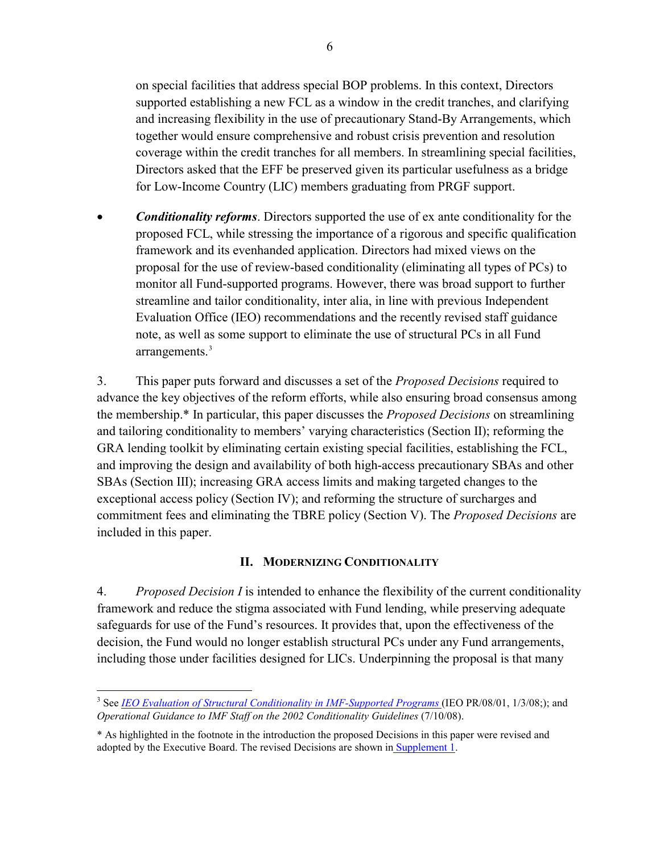<span id="page-5-0"></span>on special facilities that address special BOP problems. In this context, Directors supported establishing a new FCL as a window in the credit tranches, and clarifying and increasing flexibility in the use of precautionary Stand-By Arrangements, which together would ensure comprehensive and robust crisis prevention and resolution coverage within the credit tranches for all members. In streamlining special facilities, Directors asked that the EFF be preserved given its particular usefulness as a bridge for Low-Income Country (LIC) members graduating from PRGF support.

• *Conditionality reforms*. Directors supported the use of ex ante conditionality for the proposed FCL, while stressing the importance of a rigorous and specific qualification framework and its evenhanded application. Directors had mixed views on the proposal for the use of review-based conditionality (eliminating all types of PCs) to monitor all Fund-supported programs. However, there was broad support to further streamline and tailor conditionality, inter alia, in line with previous Independent Evaluation Office (IEO) recommendations and the recently revised staff guidance note, as well as some support to eliminate the use of structural PCs in all Fund arrangements.<sup>[3](#page-5-0)</sup>

3. This paper puts forward and discusses a set of the *Proposed Decisions* required to advance the key objectives of the reform efforts, while also ensuring broad consensus among the membership.\* In particular, this paper discusses the *Proposed Decisions* on streamlining and tailoring conditionality to members' varying characteristics (Section II); reforming the GRA lending toolkit by eliminating certain existing special facilities, establishing the FCL, and improving the design and availability of both high-access precautionary SBAs and other SBAs (Section III); increasing GRA access limits and making targeted changes to the exceptional access policy (Section IV); and reforming the structure of surcharges and commitment fees and eliminating the TBRE policy (Section V). The *Proposed Decisions* are included in this paper.

## **II. MODERNIZING CONDITIONALITY**

4. *Proposed Decision I* is intended to enhance the flexibility of the current conditionality framework and reduce the stigma associated with Fund lending, while preserving adequate safeguards for use of the Fund's resources. It provides that, upon the effectiveness of the decision, the Fund would no longer establish structural PCs under any Fund arrangements, including those under facilities designed for LICs. Underpinning the proposal is that many

<sup>1</sup> <sup>3</sup> See *[IEO Evaluation of Structural Conditionality in IMF-Supported Programs](http://www.ieo-imf.org/eval/complete/eval_01032008.html)* (IEO PR/08/01, 1/3/08;); and *Operational Guidance to IMF Staff on the 2002 Conditionality Guidelines* (7/10/08).

<sup>\*</sup> As highlighted in the footnote in the introduction the proposed Decisions in this paper were revised and adopted by the Executive Board. The revised Decisions are shown i[n Supplement 1](http://www.imf.org/external/np/pp/eng/2009/031909.pdf).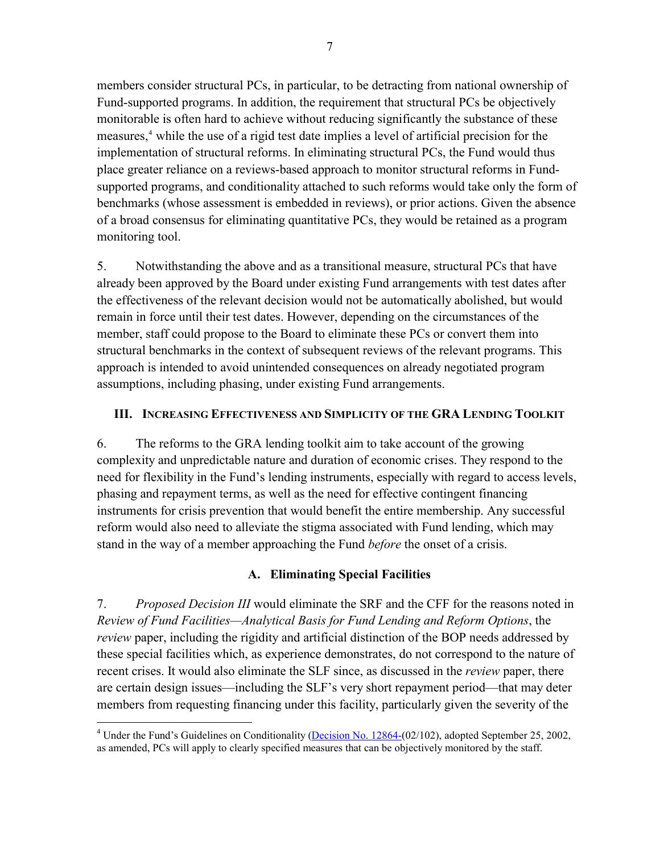members consider structural PCs, in particular, to be detracting from national ownership of Fund-supported programs. In addition, the requirement that structural PCs be objectively monitorable is often hard to achieve without reducing significantly the substance of these measures,<sup>4</sup> while the use of a rigid test date implies a level of artificial precision for the implementation of structural reforms. In eliminating structural PCs, the Fund would thus place greater reliance on a reviews-based approach to monitor structural reforms in Fundsupported programs, and conditionality attached to such reforms would take only the form of benchmarks (whose assessment is embedded in reviews), or prior actions. Given the absence of a broad consensus for eliminating quantitative PCs, they would be retained as a program monitoring tool.

5. Notwithstanding the above and as a transitional measure, structural PCs that have already been approved by the Board under existing Fund arrangements with test dates after the effectiveness of the relevant decision would not be automatically abolished, but would remain in force until their test dates. However, depending on the circumstances of the member, staff could propose to the Board to eliminate these PCs or convert them into structural benchmarks in the context of subsequent reviews of the relevant programs. This approach is intended to avoid unintended consequences on already negotiated program assumptions, including phasing, under existing Fund arrangements.

## **III. INCREASING EFFECTIVENESS AND SIMPLICITY OF THE GRA LENDING TOOLKIT**

6. The reforms to the GRA lending toolkit aim to take account of the growing complexity and unpredictable nature and duration of economic crises. They respond to the need for flexibility in the Fund's lending instruments, especially with regard to access levels, phasing and repayment terms, as well as the need for effective contingent financing instruments for crisis prevention that would benefit the entire membership. Any successful reform would also need to alleviate the stigma associated with Fund lending, which may stand in the way of a member approaching the Fund *before* the onset of a crisis.

## **A. Eliminating Special Facilities**

7. *Proposed Decision III* would eliminate the SRF and the CFF for the reasons noted in *Review of Fund Facilities—Analytical Basis for Fund Lending and Reform Options*, the *review* paper, including the rigidity and artificial distinction of the BOP needs addressed by these special facilities which, as experience demonstrates, do not correspond to the nature of recent crises. It would also eliminate the SLF since, as discussed in the *review* paper, there are certain design issues—including the SLF's very short repayment period—that may deter members from requesting financing under this facility, particularly given the severity of the

<sup>&</sup>lt;sup>4</sup> Under the Fund's Guidelines on Conditionality [\(Decision No. 12864-\(](http://www.imf.org/external/pubs/ft/sd/index.asp?decision=12864-(02/102))02/102), adopted September 25, 2002, as amended, PCs will apply to clearly specified measures that can be objectively monitored by the staff.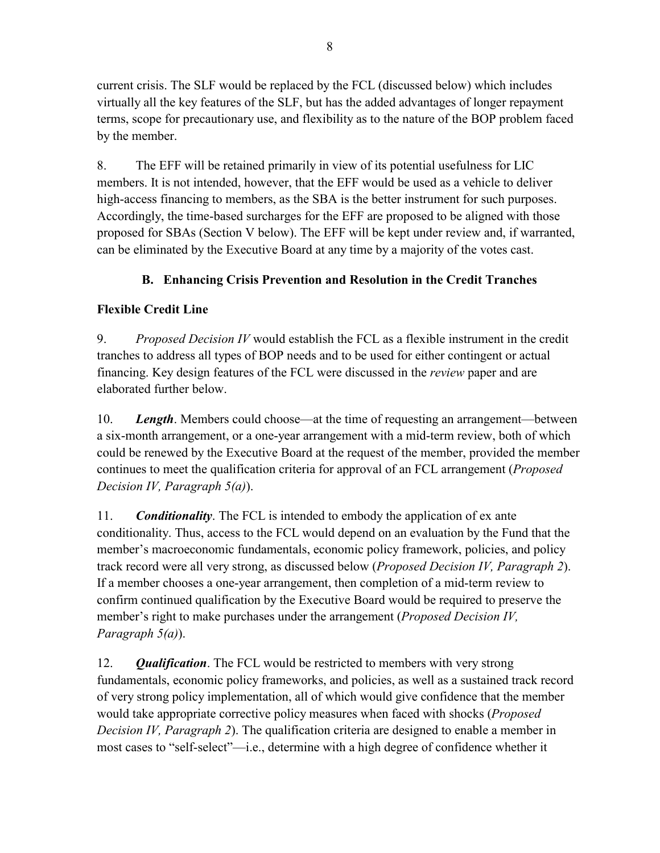current crisis. The SLF would be replaced by the FCL (discussed below) which includes virtually all the key features of the SLF, but has the added advantages of longer repayment terms, scope for precautionary use, and flexibility as to the nature of the BOP problem faced by the member.

8. The EFF will be retained primarily in view of its potential usefulness for LIC members. It is not intended, however, that the EFF would be used as a vehicle to deliver high-access financing to members, as the SBA is the better instrument for such purposes. Accordingly, the time-based surcharges for the EFF are proposed to be aligned with those proposed for SBAs (Section V below). The EFF will be kept under review and, if warranted, can be eliminated by the Executive Board at any time by a majority of the votes cast.

## **B. Enhancing Crisis Prevention and Resolution in the Credit Tranches**

## **Flexible Credit Line**

9. *Proposed Decision IV* would establish the FCL as a flexible instrument in the credit tranches to address all types of BOP needs and to be used for either contingent or actual financing. Key design features of the FCL were discussed in the *review* paper and are elaborated further below.

10. *Length*. Members could choose—at the time of requesting an arrangement—between a six-month arrangement, or a one-year arrangement with a mid-term review, both of which could be renewed by the Executive Board at the request of the member, provided the member continues to meet the qualification criteria for approval of an FCL arrangement (*Proposed Decision IV, Paragraph 5(a)*).

11. *Conditionality*. The FCL is intended to embody the application of ex ante conditionality. Thus, access to the FCL would depend on an evaluation by the Fund that the member's macroeconomic fundamentals, economic policy framework, policies, and policy track record were all very strong, as discussed below (*Proposed Decision IV, Paragraph 2*). If a member chooses a one-year arrangement, then completion of a mid-term review to confirm continued qualification by the Executive Board would be required to preserve the member's right to make purchases under the arrangement (*Proposed Decision IV, Paragraph 5(a)*).

12. *Qualification*. The FCL would be restricted to members with very strong fundamentals, economic policy frameworks, and policies, as well as a sustained track record of very strong policy implementation, all of which would give confidence that the member would take appropriate corrective policy measures when faced with shocks (*Proposed Decision IV, Paragraph 2*). The qualification criteria are designed to enable a member in most cases to "self-select"—i.e., determine with a high degree of confidence whether it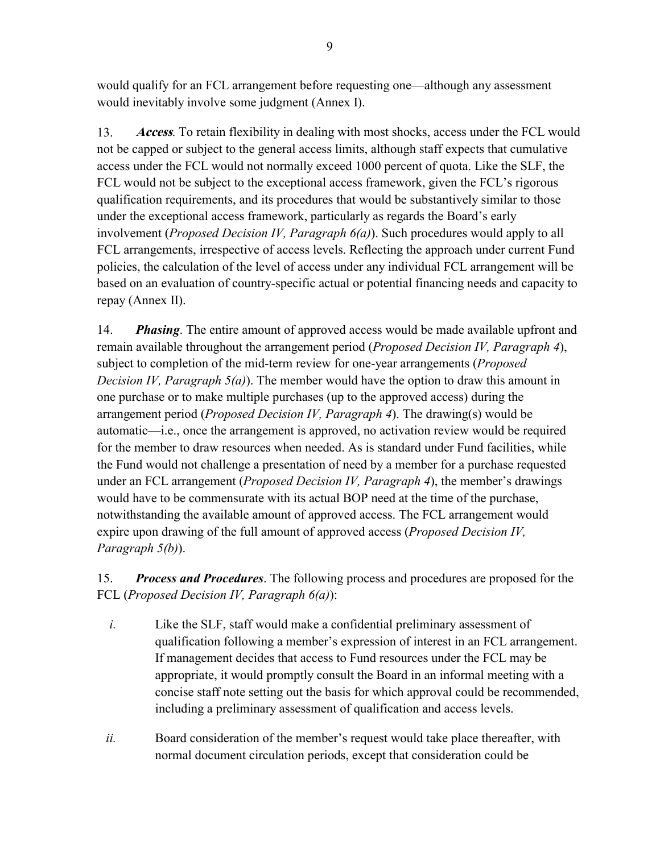would qualify for an FCL arrangement before requesting one—although any assessment would inevitably involve some judgment (Annex I).

13. **Access**. To retain flexibility in dealing with most shocks, access under the FCL would not be capped or subject to the general access limits, although staff expects that cumulative access under the FCL would not normally exceed 1000 percent of quota. Like the SLF, the FCL would not be subject to the exceptional access framework, given the FCL's rigorous qualification requirements, and its procedures that would be substantively similar to those under the exceptional access framework, particularly as regards the Board's early involvement (*Proposed Decision IV, Paragraph 6(a)*). Such procedures would apply to all FCL arrangements, irrespective of access levels. Reflecting the approach under current Fund policies, the calculation of the level of access under any individual FCL arrangement will be based on an evaluation of country-specific actual or potential financing needs and capacity to repay (Annex II).

14. *Phasing*. The entire amount of approved access would be made available upfront and remain available throughout the arrangement period (*Proposed Decision IV, Paragraph 4*), subject to completion of the mid-term review for one-year arrangements (*Proposed Decision IV, Paragraph 5(a)*). The member would have the option to draw this amount in one purchase or to make multiple purchases (up to the approved access) during the arrangement period (*Proposed Decision IV, Paragraph 4*). The drawing(s) would be automatic—i.e., once the arrangement is approved, no activation review would be required for the member to draw resources when needed. As is standard under Fund facilities, while the Fund would not challenge a presentation of need by a member for a purchase requested under an FCL arrangement (*Proposed Decision IV, Paragraph 4*), the member's drawings would have to be commensurate with its actual BOP need at the time of the purchase, notwithstanding the available amount of approved access. The FCL arrangement would expire upon drawing of the full amount of approved access (*Proposed Decision IV, Paragraph 5(b)*).

15. *Process and Procedures*. The following process and procedures are proposed for the FCL (*Proposed Decision IV, Paragraph 6(a)*):

- *i.* Like the SLF, staff would make a confidential preliminary assessment of qualification following a member's expression of interest in an FCL arrangement. If management decides that access to Fund resources under the FCL may be appropriate, it would promptly consult the Board in an informal meeting with a concise staff note setting out the basis for which approval could be recommended, including a preliminary assessment of qualification and access levels.
- *ii.* Board consideration of the member's request would take place thereafter, with normal document circulation periods, except that consideration could be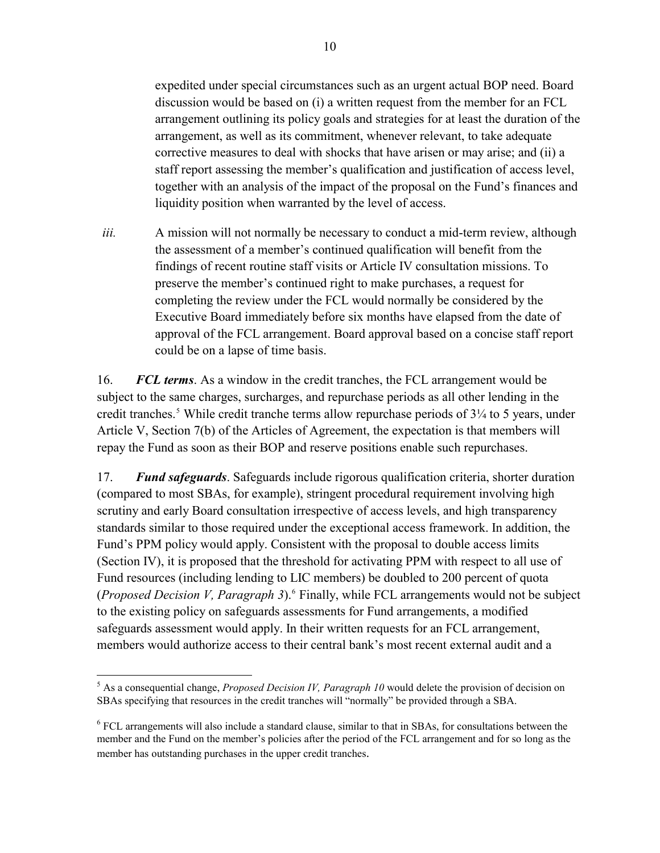<span id="page-9-0"></span>expedited under special circumstances such as an urgent actual BOP need. Board discussion would be based on (i) a written request from the member for an FCL arrangement outlining its policy goals and strategies for at least the duration of the arrangement, as well as its commitment, whenever relevant, to take adequate corrective measures to deal with shocks that have arisen or may arise; and (ii) a staff report assessing the member's qualification and justification of access level, together with an analysis of the impact of the proposal on the Fund's finances and liquidity position when warranted by the level of access.

*iii.* A mission will not normally be necessary to conduct a mid-term review, although the assessment of a member's continued qualification will benefit from the findings of recent routine staff visits or Article IV consultation missions. To preserve the member's continued right to make purchases, a request for completing the review under the FCL would normally be considered by the Executive Board immediately before six months have elapsed from the date of approval of the FCL arrangement. Board approval based on a concise staff report could be on a lapse of time basis.

16. *FCL terms*. As a window in the credit tranches, the FCL arrangement would be subject to the same charges, surcharges, and repurchase periods as all other lending in the credit tranches.<sup>[5](#page-9-0)</sup> While credit tranche terms allow repurchase periods of 3<sup>1</sup>/<sub>4</sub> to 5 years, under Article V, Section 7(b) of the Articles of Agreement, the expectation is that members will repay the Fund as soon as their BOP and reserve positions enable such repurchases.

17. *Fund safeguards*. Safeguards include rigorous qualification criteria, shorter duration (compared to most SBAs, for example), stringent procedural requirement involving high scrutiny and early Board consultation irrespective of access levels, and high transparency standards similar to those required under the exceptional access framework. In addition, the Fund's PPM policy would apply. Consistent with the proposal to double access limits (Section IV), it is proposed that the threshold for activating PPM with respect to all use of Fund resources (including lending to LIC members) be doubled to 200 percent of quota (*Proposed Decision V, Paragraph 3*).<sup>[6](#page-9-0)</sup> Finally, while FCL arrangements would not be subject to the existing policy on safeguards assessments for Fund arrangements, a modified safeguards assessment would apply. In their written requests for an FCL arrangement, members would authorize access to their central bank's most recent external audit and a

<sup>1</sup> 5 As a consequential change, *Proposed Decision IV, Paragraph 10* would delete the provision of decision on SBAs specifying that resources in the credit tranches will "normally" be provided through a SBA.

<sup>&</sup>lt;sup>6</sup> FCL arrangements will also include a standard clause, similar to that in SBAs, for consultations between the member and the Fund on the member's policies after the period of the FCL arrangement and for so long as the member has outstanding purchases in the upper credit tranches.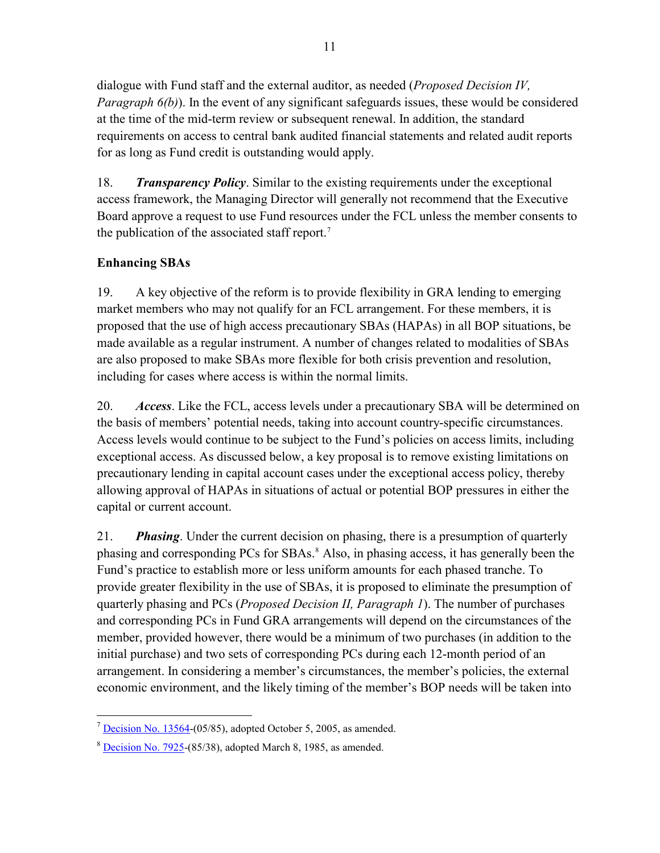<span id="page-10-0"></span>dialogue with Fund staff and the external auditor, as needed (*Proposed Decision IV, Paragraph 6(b)*). In the event of any significant safeguards issues, these would be considered at the time of the mid-term review or subsequent renewal. In addition, the standard requirements on access to central bank audited financial statements and related audit reports for as long as Fund credit is outstanding would apply.

18. *Transparency Policy*. Similar to the existing requirements under the exceptional access framework, the Managing Director will generally not recommend that the Executive Board approve a request to use Fund resources under the FCL unless the member consents to the publication of the associated staff report.<sup>[7](#page-10-0)</sup>

## **Enhancing SBAs**

<u>.</u>

19. A key objective of the reform is to provide flexibility in GRA lending to emerging market members who may not qualify for an FCL arrangement. For these members, it is proposed that the use of high access precautionary SBAs (HAPAs) in all BOP situations, be made available as a regular instrument. A number of changes related to modalities of SBAs are also proposed to make SBAs more flexible for both crisis prevention and resolution, including for cases where access is within the normal limits.

20. *Access*. Like the FCL, access levels under a precautionary SBA will be determined on the basis of members' potential needs, taking into account country-specific circumstances. Access levels would continue to be subject to the Fund's policies on access limits, including exceptional access. As discussed below, a key proposal is to remove existing limitations on precautionary lending in capital account cases under the exceptional access policy, thereby allowing approval of HAPAs in situations of actual or potential BOP pressures in either the capital or current account.

21. *Phasing*. Under the current decision on phasing, there is a presumption of quarterly phasing and corresponding PCs for SBAs.<sup>[8](#page-10-0)</sup> Also, in phasing access, it has generally been the Fund's practice to establish more or less uniform amounts for each phased tranche. To provide greater flexibility in the use of SBAs, it is proposed to eliminate the presumption of quarterly phasing and PCs (*Proposed Decision II, Paragraph 1*). The number of purchases and corresponding PCs in Fund GRA arrangements will depend on the circumstances of the member, provided however, there would be a minimum of two purchases (in addition to the initial purchase) and two sets of corresponding PCs during each 12-month period of an arrangement. In considering a member's circumstances, the member's policies, the external economic environment, and the likely timing of the member's BOP needs will be taken into

 $<sup>7</sup>$  [Decision No. 13564](http://www.imf.org/external/pubs/ft/sd/index.asp?decision=13564-(05/85))-(05/85), adopted October 5, 2005, as amended.</sup>

<sup>8</sup> [Decision No. 7925](http://www.imf.org/external/pubs/ft/sd/index.asp?decision=7925-(85/38))-(85/38), adopted March 8, 1985, as amended.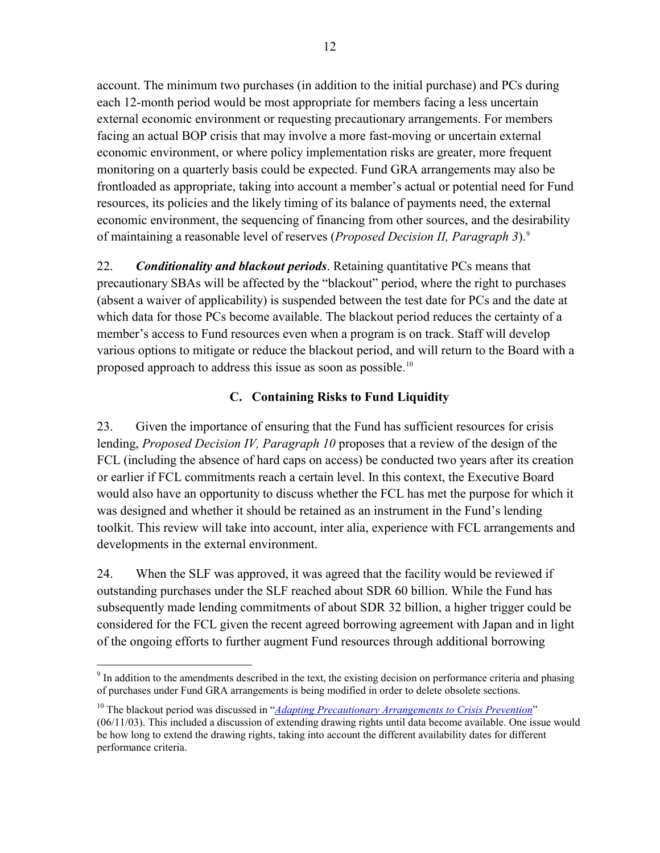<span id="page-11-0"></span>account. The minimum two purchases (in addition to the initial purchase) and PCs during each 12-month period would be most appropriate for members facing a less uncertain external economic environment or requesting precautionary arrangements. For members facing an actual BOP crisis that may involve a more fast-moving or uncertain external economic environment, or where policy implementation risks are greater, more frequent monitoring on a quarterly basis could be expected. Fund GRA arrangements may also be frontloaded as appropriate, taking into account a member's actual or potential need for Fund resources, its policies and the likely timing of its balance of payments need, the external economic environment, the sequencing of financing from other sources, and the desirability of maintaining a reasonable level of reserves (*Proposed Decision II, Paragraph 3*).9

22. *Conditionality and blackout periods*. Retaining quantitative PCs means that precautionary SBAs will be affected by the "blackout" period, where the right to purchases (absent a waiver of applicability) is suspended between the test date for PCs and the date at which data for those PCs become available. The blackout period reduces the certainty of a member's access to Fund resources even when a program is on track. Staff will develop various options to mitigate or reduce the blackout period, and will return to the Board with a proposed approach to address this issue as soon as possible.<sup>[10](#page-11-0)</sup>

## **C. Containing Risks to Fund Liquidity**

23. Given the importance of ensuring that the Fund has sufficient resources for crisis lending, *Proposed Decision IV, Paragraph 10* proposes that a review of the design of the FCL (including the absence of hard caps on access) be conducted two years after its creation or earlier if FCL commitments reach a certain level. In this context, the Executive Board would also have an opportunity to discuss whether the FCL has met the purpose for which it was designed and whether it should be retained as an instrument in the Fund's lending toolkit. This review will take into account, inter alia, experience with FCL arrangements and developments in the external environment.

24. When the SLF was approved, it was agreed that the facility would be reviewed if outstanding purchases under the SLF reached about SDR 60 billion. While the Fund has subsequently made lending commitments of about SDR 32 billion, a higher trigger could be considered for the FCL given the recent agreed borrowing agreement with Japan and in light of the ongoing efforts to further augment Fund resources through additional borrowing

 $\overline{a}$  $9<sup>9</sup>$  In addition to the amendments described in the text, the existing decision on performance criteria and phasing of purchases under Fund GRA arrangements is being modified in order to delete obsolete sections.

<sup>10</sup> The blackout period was discussed in "*[Adapting Precautionary Arrangements to Crisis Prevention](http://www.imf.org/external/np/pdr/fac/2003/061103.htm)*"

<sup>(06/11/03).</sup> This included a discussion of extending drawing rights until data become available. One issue would be how long to extend the drawing rights, taking into account the different availability dates for different performance criteria.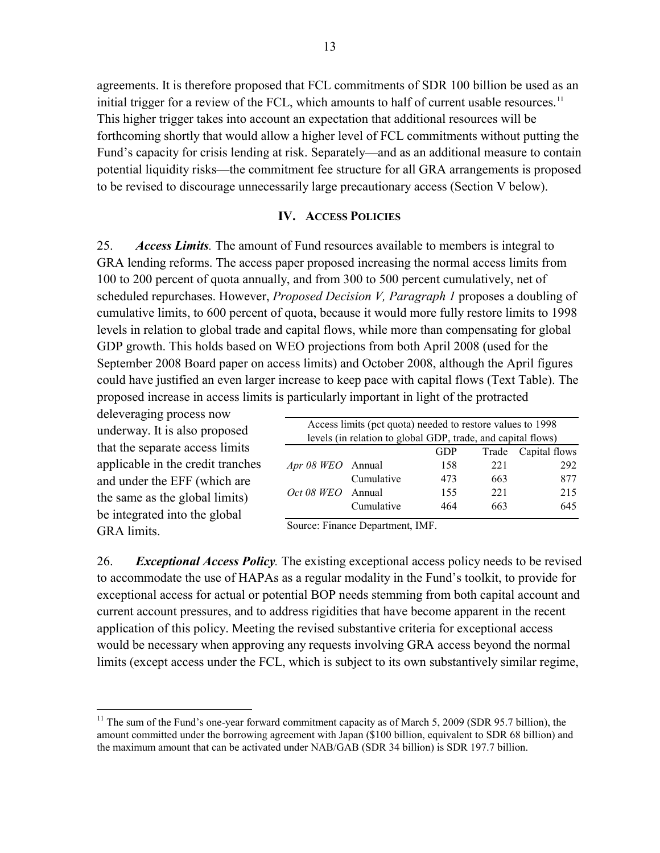agreements. It is therefore proposed that FCL commitments of SDR 100 billion be used as an initial trigger for a review of the FCL, which amounts to half of current usable resources.<sup>11</sup> This higher trigger takes into account an expectation that additional resources will be forthcoming shortly that would allow a higher level of FCL commitments without putting the Fund's capacity for crisis lending at risk. Separately—and as an additional measure to contain potential liquidity risks—the commitment fee structure for all GRA arrangements is proposed to be revised to discourage unnecessarily large precautionary access (Section V below).

#### **IV. ACCESS POLICIES**

25. *Access Limits.* The amount of Fund resources available to members is integral to GRA lending reforms. The access paper proposed increasing the normal access limits from 100 to 200 percent of quota annually, and from 300 to 500 percent cumulatively, net of scheduled repurchases. However, *Proposed Decision V, Paragraph 1* proposes a doubling of cumulative limits, to 600 percent of quota, because it would more fully restore limits to 1998 levels in relation to global trade and capital flows, while more than compensating for global GDP growth. This holds based on WEO projections from both April 2008 (used for the September 2008 Board paper on access limits) and October 2008, although the April figures could have justified an even larger increase to keep pace with capital flows (Text Table). The proposed increase in access limits is particularly important in light of the protracted

deleveraging process now underway. It is also proposed that the separate access limits applicable in the credit tranches and under the EFF (which are the same as the global limits) be integrated into the global GRA limits.

 $\overline{a}$ 

| Access limits (pct quota) needed to restore values to 1998   |            |     |     |     |  |  |  |  |
|--------------------------------------------------------------|------------|-----|-----|-----|--|--|--|--|
| levels (in relation to global GDP, trade, and capital flows) |            |     |     |     |  |  |  |  |
| Trade Capital flows<br>GDP                                   |            |     |     |     |  |  |  |  |
| Apr 08 WEO Annual                                            |            | 158 | 221 | 292 |  |  |  |  |
|                                                              | Cumulative | 473 | 663 | 877 |  |  |  |  |
| $Oct$ 08 WEO Annual                                          |            | 155 | 221 | 215 |  |  |  |  |
|                                                              | Cumulative | 464 | 663 | 645 |  |  |  |  |
|                                                              |            |     |     |     |  |  |  |  |

Source: Finance Department, IMF.

26. *Exceptional Access Policy.* The existing exceptional access policy needs to be revised to accommodate the use of HAPAs as a regular modality in the Fund's toolkit, to provide for exceptional access for actual or potential BOP needs stemming from both capital account and current account pressures, and to address rigidities that have become apparent in the recent application of this policy. Meeting the revised substantive criteria for exceptional access would be necessary when approving any requests involving GRA access beyond the normal limits (except access under the FCL, which is subject to its own substantively similar regime,

 $11$  The sum of the Fund's one-year forward commitment capacity as of March 5, 2009 (SDR 95.7 billion), the amount committed under the borrowing agreement with Japan (\$100 billion, equivalent to SDR 68 billion) and the maximum amount that can be activated under NAB/GAB (SDR 34 billion) is SDR 197.7 billion.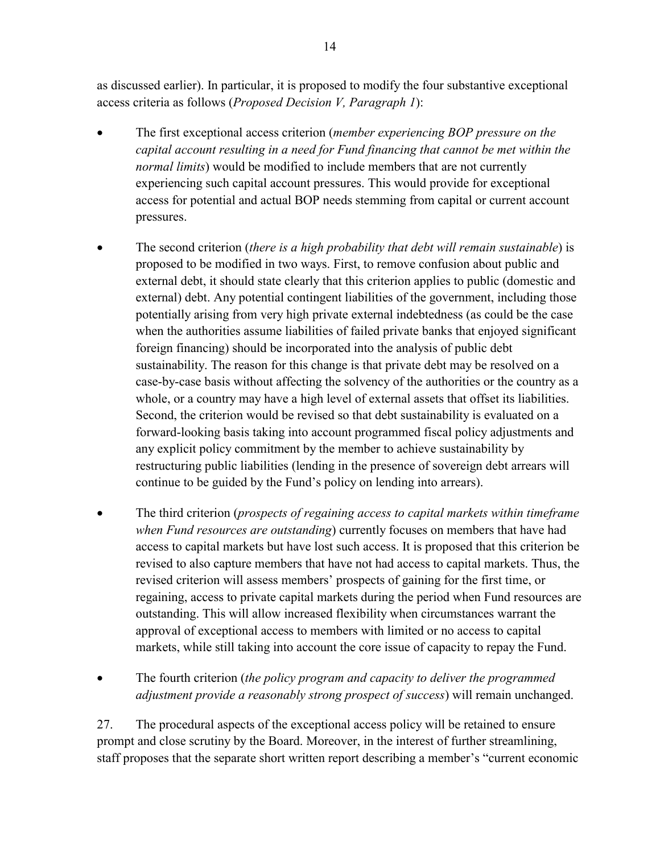as discussed earlier). In particular, it is proposed to modify the four substantive exceptional access criteria as follows (*Proposed Decision V, Paragraph 1*):

- The first exceptional access criterion (*member experiencing BOP pressure on the capital account resulting in a need for Fund financing that cannot be met within the normal limits*) would be modified to include members that are not currently experiencing such capital account pressures. This would provide for exceptional access for potential and actual BOP needs stemming from capital or current account pressures.
- The second criterion (*there is a high probability that debt will remain sustainable*) is proposed to be modified in two ways. First, to remove confusion about public and external debt, it should state clearly that this criterion applies to public (domestic and external) debt. Any potential contingent liabilities of the government, including those potentially arising from very high private external indebtedness (as could be the case when the authorities assume liabilities of failed private banks that enjoyed significant foreign financing) should be incorporated into the analysis of public debt sustainability. The reason for this change is that private debt may be resolved on a case-by-case basis without affecting the solvency of the authorities or the country as a whole, or a country may have a high level of external assets that offset its liabilities. Second, the criterion would be revised so that debt sustainability is evaluated on a forward-looking basis taking into account programmed fiscal policy adjustments and any explicit policy commitment by the member to achieve sustainability by restructuring public liabilities (lending in the presence of sovereign debt arrears will continue to be guided by the Fund's policy on lending into arrears).
- The third criterion (*prospects of regaining access to capital markets within timeframe when Fund resources are outstanding*) currently focuses on members that have had access to capital markets but have lost such access. It is proposed that this criterion be revised to also capture members that have not had access to capital markets. Thus, the revised criterion will assess members' prospects of gaining for the first time, or regaining, access to private capital markets during the period when Fund resources are outstanding. This will allow increased flexibility when circumstances warrant the approval of exceptional access to members with limited or no access to capital markets, while still taking into account the core issue of capacity to repay the Fund.

• The fourth criterion (*the policy program and capacity to deliver the programmed adjustment provide a reasonably strong prospect of success*) will remain unchanged.

27. The procedural aspects of the exceptional access policy will be retained to ensure prompt and close scrutiny by the Board. Moreover, in the interest of further streamlining, staff proposes that the separate short written report describing a member's "current economic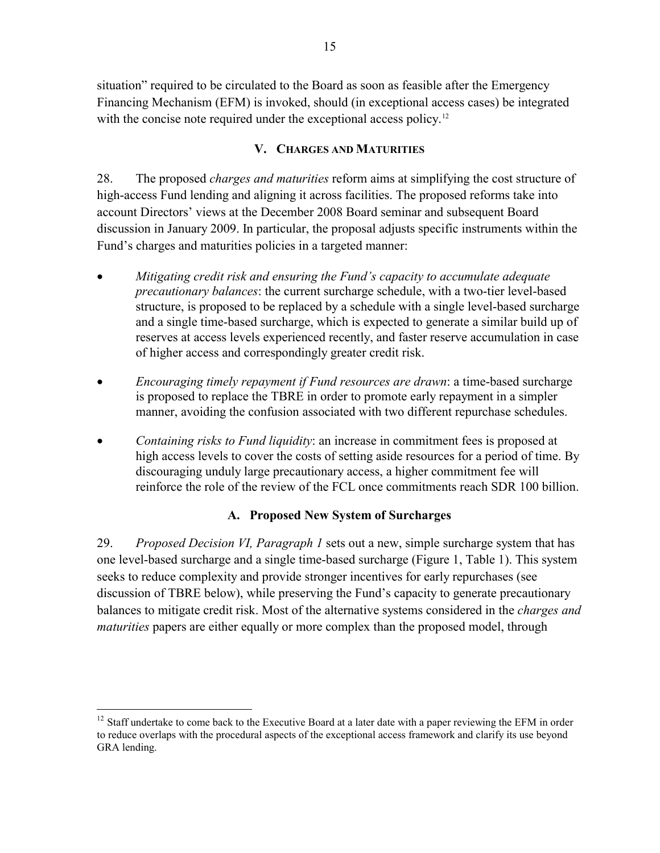situation" required to be circulated to the Board as soon as feasible after the Emergency Financing Mechanism (EFM) is invoked, should (in exceptional access cases) be integrated with the concise note required under the exceptional access policy.<sup>12</sup>

## **V. CHARGES AND MATURITIES**

28. The proposed *charges and maturities* reform aims at simplifying the cost structure of high-access Fund lending and aligning it across facilities. The proposed reforms take into account Directors' views at the December 2008 Board seminar and subsequent Board discussion in January 2009. In particular, the proposal adjusts specific instruments within the Fund's charges and maturities policies in a targeted manner:

- *Mitigating credit risk and ensuring the Fund's capacity to accumulate adequate precautionary balances*: the current surcharge schedule, with a two-tier level-based structure, is proposed to be replaced by a schedule with a single level-based surcharge and a single time-based surcharge, which is expected to generate a similar build up of reserves at access levels experienced recently, and faster reserve accumulation in case of higher access and correspondingly greater credit risk.
- *Encouraging timely repayment if Fund resources are drawn*: a time-based surcharge is proposed to replace the TBRE in order to promote early repayment in a simpler manner, avoiding the confusion associated with two different repurchase schedules.
- *Containing risks to Fund liquidity*: an increase in commitment fees is proposed at high access levels to cover the costs of setting aside resources for a period of time. By discouraging unduly large precautionary access, a higher commitment fee will reinforce the role of the review of the FCL once commitments reach SDR 100 billion.

## **A. Proposed New System of Surcharges**

29. *Proposed Decision VI, Paragraph 1* sets out a new, simple surcharge system that has one level-based surcharge and a single time-based surcharge (Figure 1, Table 1). This system seeks to reduce complexity and provide stronger incentives for early repurchases (see discussion of TBRE below), while preserving the Fund's capacity to generate precautionary balances to mitigate credit risk. Most of the alternative systems considered in the *charges and maturities* papers are either equally or more complex than the proposed model, through

<sup>&</sup>lt;sup>12</sup> Staff undertake to come back to the Executive Board at a later date with a paper reviewing the EFM in order to reduce overlaps with the procedural aspects of the exceptional access framework and clarify its use beyond GRA lending.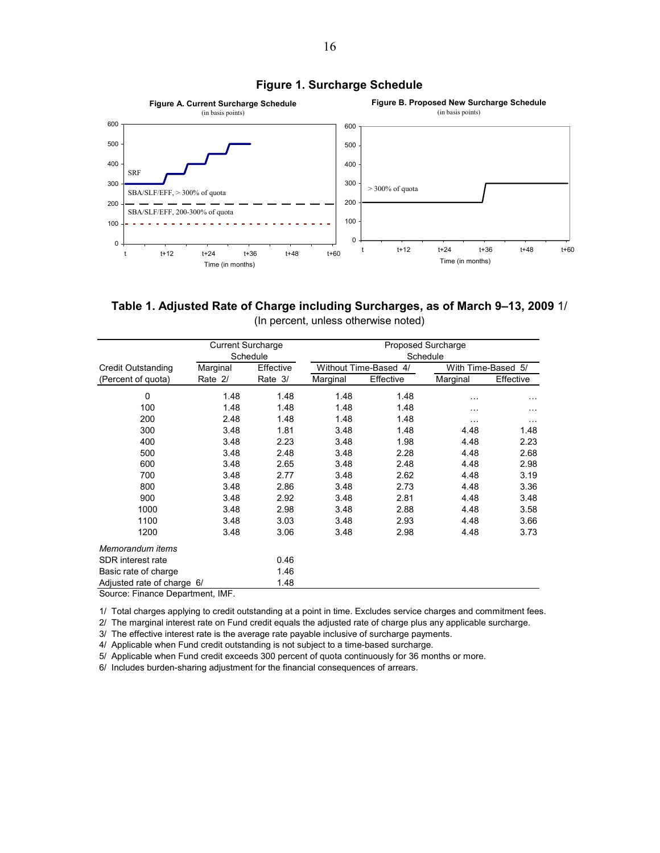

#### **Figure 1. Surcharge Schedule**

**Table 1. Adjusted Rate of Charge including Surcharges, as of March 9–13, 2009** 1/ (In percent, unless otherwise noted)

|                                    | <b>Current Surcharge</b> |           |                    |           | Proposed Surcharge |           |  |  |
|------------------------------------|--------------------------|-----------|--------------------|-----------|--------------------|-----------|--|--|
|                                    |                          | Schedule  |                    | Schedule  |                    |           |  |  |
| <b>Credit Outstanding</b>          | Marginal                 | Effective | Without Time-Based | 4/        | With Time-Based 5/ |           |  |  |
| (Percent of quota)                 | Rate 2/                  | Rate 3/   | Marginal           | Effective | Marginal           | Effective |  |  |
| 0                                  | 1.48                     | 1.48      | 1.48               | 1.48      | .                  |           |  |  |
| 100                                | 1.48                     | 1.48      | 1.48               | 1.48      | .                  | $\cdots$  |  |  |
| 200                                | 2.48                     | 1.48      | 1.48               | 1.48      | .                  | $\cdots$  |  |  |
| 300                                | 3.48                     | 1.81      | 3.48               | 1.48      | 4.48               | 1.48      |  |  |
| 400                                | 3.48                     | 2.23      | 3.48               | 1.98      | 4.48               | 2.23      |  |  |
| 500                                | 3.48                     | 2.48      | 3.48               | 2.28      | 4.48               | 2.68      |  |  |
| 600                                | 3.48                     | 2.65      | 3.48               | 2.48      | 4.48               | 2.98      |  |  |
| 700                                | 3.48                     | 2.77      | 3.48               | 2.62      | 4.48               | 3.19      |  |  |
| 800                                | 3.48                     | 2.86      | 3.48               | 2.73      | 4.48               | 3.36      |  |  |
| 900                                | 3.48                     | 2.92      | 3.48               | 2.81      | 4.48               | 3.48      |  |  |
| 1000                               | 3.48                     | 2.98      | 3.48               | 2.88      | 4.48               | 3.58      |  |  |
| 1100                               | 3.48                     | 3.03      | 3.48               | 2.93      | 4.48               | 3.66      |  |  |
| 1200                               | 3.48                     | 3.06      | 3.48               | 2.98      | 4.48               | 3.73      |  |  |
| Memorandum items                   |                          |           |                    |           |                    |           |  |  |
| SDR interest rate                  |                          | 0.46      |                    |           |                    |           |  |  |
| Basic rate of charge               |                          | 1.46      |                    |           |                    |           |  |  |
| Adjusted rate of charge 6/<br>1.48 |                          |           |                    |           |                    |           |  |  |
| Source: Finance Department, IMF.   |                          |           |                    |           |                    |           |  |  |

1/ Total charges applying to credit outstanding at a point in time. Excludes service charges and commitment fees.

2/ The marginal interest rate on Fund credit equals the adjusted rate of charge plus any applicable surcharge.

3/ The effective interest rate is the average rate payable inclusive of surcharge payments.

4/ Applicable when Fund credit outstanding is not subject to a time-based surcharge.

5/ Applicable when Fund credit exceeds 300 percent of quota continuously for 36 months or more.

6/ Includes burden-sharing adjustment for the financial consequences of arrears.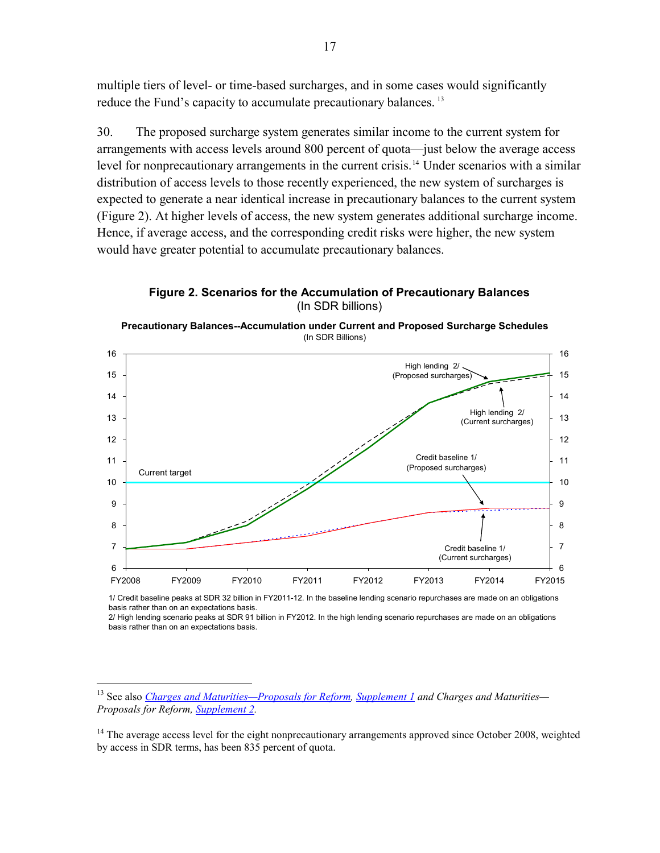<span id="page-16-0"></span>multiple tiers of level- or time-based surcharges, and in some cases would significantly reduce the Fund's capacity to accumulate precautionary balances.<sup>[13](#page-16-0)</sup>

30. The proposed surcharge system generates similar income to the current system for arrangements with access levels around 800 percent of quota—just below the average access level for nonprecautionary arrangements in the current crisis.<sup>[14](#page-16-0)</sup> Under scenarios with a similar distribution of access levels to those recently experienced, the new system of surcharges is expected to generate a near identical increase in precautionary balances to the current system (Figure 2). At higher levels of access, the new system generates additional surcharge income. Hence, if average access, and the corresponding credit risks were higher, the new system would have greater potential to accumulate precautionary balances.

**Figure 2. Scenarios for the Accumulation of Precautionary Balances**  (In SDR billions)





1/ Credit baseline peaks at SDR 32 billion in FY2011-12. In the baseline lending scenario repurchases are made on an obligations basis rather than on an expectations basis.

<sup>2/</sup> High lending scenario peaks at SDR 91 billion in FY2012. In the high lending scenario repurchases are made on an obligations basis rather than on an expectations basis.

<sup>&</sup>lt;sup>13</sup> See also *[Charges and Maturities—Proposals for Reform,](http://www.imf.org/external/np/pp/eng/2008/121208A.pdf) [Supplement 1](http://www.imf.org/external/np/pp/eng/2008/121208B.pdf) and Charges and Maturities— Proposals for Reform, [Supplement 2](http://www.imf.org/external/np/pp/eng/2008/121208C.pdf).* 

<sup>&</sup>lt;sup>14</sup> The average access level for the eight nonprecautionary arrangements approved since October 2008, weighted by access in SDR terms, has been 835 percent of quota.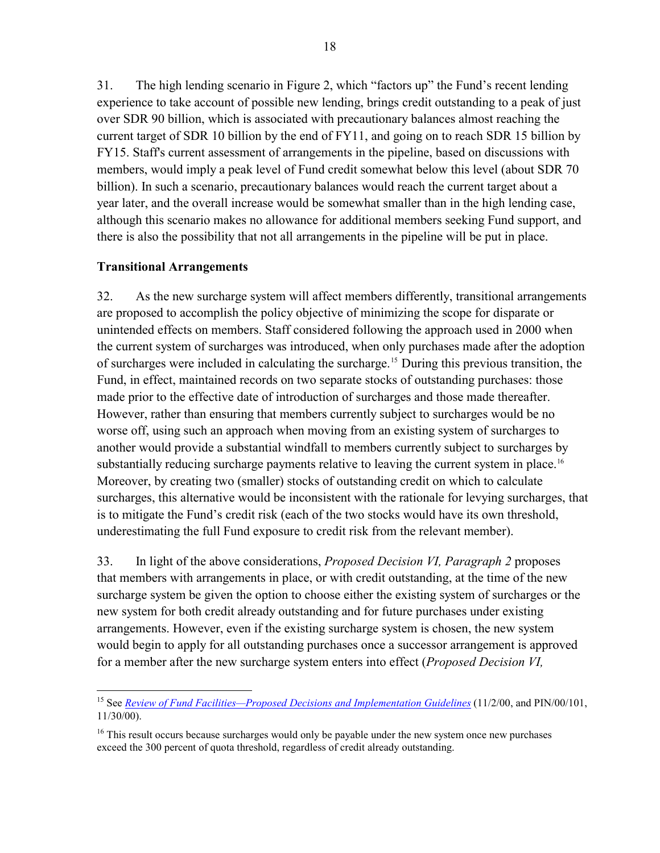<span id="page-17-0"></span>31. The high lending scenario in Figure 2, which "factors up" the Fund's recent lending experience to take account of possible new lending, brings credit outstanding to a peak of just over SDR 90 billion, which is associated with precautionary balances almost reaching the current target of SDR 10 billion by the end of FY11, and going on to reach SDR 15 billion by FY15. Staff's current assessment of arrangements in the pipeline, based on discussions with members, would imply a peak level of Fund credit somewhat below this level (about SDR 70 billion). In such a scenario, precautionary balances would reach the current target about a year later, and the overall increase would be somewhat smaller than in the high lending case, although this scenario makes no allowance for additional members seeking Fund support, and there is also the possibility that not all arrangements in the pipeline will be put in place.

## **Transitional Arrangements**

32. As the new surcharge system will affect members differently, transitional arrangements are proposed to accomplish the policy objective of minimizing the scope for disparate or unintended effects on members. Staff considered following the approach used in 2000 when the current system of surcharges was introduced, when only purchases made after the adoption of surcharges were included in calculating the surcharge.[15](#page-17-0) During this previous transition, the Fund, in effect, maintained records on two separate stocks of outstanding purchases: those made prior to the effective date of introduction of surcharges and those made thereafter. However, rather than ensuring that members currently subject to surcharges would be no worse off, using such an approach when moving from an existing system of surcharges to another would provide a substantial windfall to members currently subject to surcharges by substantially reducing surcharge payments relative to leaving the current system in place.<sup>[16](#page-17-0)</sup> Moreover, by creating two (smaller) stocks of outstanding credit on which to calculate surcharges, this alternative would be inconsistent with the rationale for levying surcharges, that is to mitigate the Fund's credit risk (each of the two stocks would have its own threshold, underestimating the full Fund exposure to credit risk from the relevant member).

33. In light of the above considerations, *Proposed Decision VI, Paragraph 2* proposes that members with arrangements in place, or with credit outstanding, at the time of the new surcharge system be given the option to choose either the existing system of surcharges or the new system for both credit already outstanding and for future purchases under existing arrangements. However, even if the existing surcharge system is chosen, the new system would begin to apply for all outstanding purchases once a successor arrangement is approved for a member after the new surcharge system enters into effect (*Proposed Decision VI,* 

<sup>1</sup> <sup>15</sup> See *[Review of Fund Facilities—Proposed Decisions and Implementation Guidelines](http://www.imf.org/external/np/sec/pn/2000/pn00101.htm)* (11/2/00, and PIN/00/101, 11/30/00).

<sup>&</sup>lt;sup>16</sup> This result occurs because surcharges would only be payable under the new system once new purchases exceed the 300 percent of quota threshold, regardless of credit already outstanding.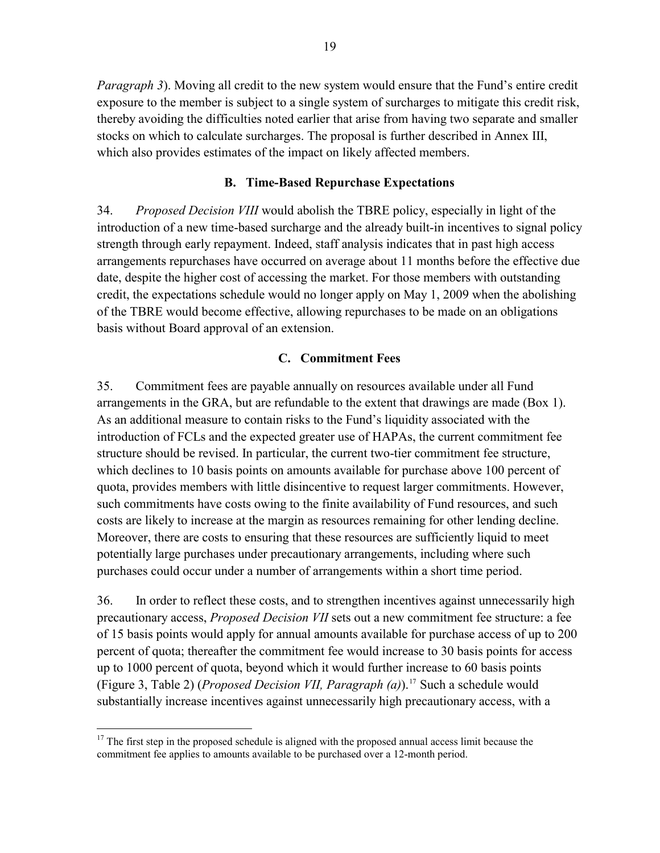<span id="page-18-0"></span>*Paragraph 3*). Moving all credit to the new system would ensure that the Fund's entire credit exposure to the member is subject to a single system of surcharges to mitigate this credit risk, thereby avoiding the difficulties noted earlier that arise from having two separate and smaller stocks on which to calculate surcharges. The proposal is further described in Annex III, which also provides estimates of the impact on likely affected members.

## **B. Time-Based Repurchase Expectations**

34. *Proposed Decision VIII* would abolish the TBRE policy, especially in light of the introduction of a new time-based surcharge and the already built-in incentives to signal policy strength through early repayment. Indeed, staff analysis indicates that in past high access arrangements repurchases have occurred on average about 11 months before the effective due date, despite the higher cost of accessing the market. For those members with outstanding credit, the expectations schedule would no longer apply on May 1, 2009 when the abolishing of the TBRE would become effective, allowing repurchases to be made on an obligations basis without Board approval of an extension.

### **C. Commitment Fees**

35. Commitment fees are payable annually on resources available under all Fund arrangements in the GRA, but are refundable to the extent that drawings are made (Box 1). As an additional measure to contain risks to the Fund's liquidity associated with the introduction of FCLs and the expected greater use of HAPAs, the current commitment fee structure should be revised. In particular, the current two-tier commitment fee structure, which declines to 10 basis points on amounts available for purchase above 100 percent of quota, provides members with little disincentive to request larger commitments. However, such commitments have costs owing to the finite availability of Fund resources, and such costs are likely to increase at the margin as resources remaining for other lending decline. Moreover, there are costs to ensuring that these resources are sufficiently liquid to meet potentially large purchases under precautionary arrangements, including where such purchases could occur under a number of arrangements within a short time period.

36. In order to reflect these costs, and to strengthen incentives against unnecessarily high precautionary access, *Proposed Decision VII* sets out a new commitment fee structure: a fee of 15 basis points would apply for annual amounts available for purchase access of up to 200 percent of quota; thereafter the commitment fee would increase to 30 basis points for access up to 1000 percent of quota, beyond which it would further increase to 60 basis points (Figure 3, Table 2) (*Proposed Decision VII, Paragraph (a)*).[17](#page-18-0) Such a schedule would substantially increase incentives against unnecessarily high precautionary access, with a

 $\overline{a}$ 

<sup>&</sup>lt;sup>17</sup> The first step in the proposed schedule is aligned with the proposed annual access limit because the commitment fee applies to amounts available to be purchased over a 12-month period.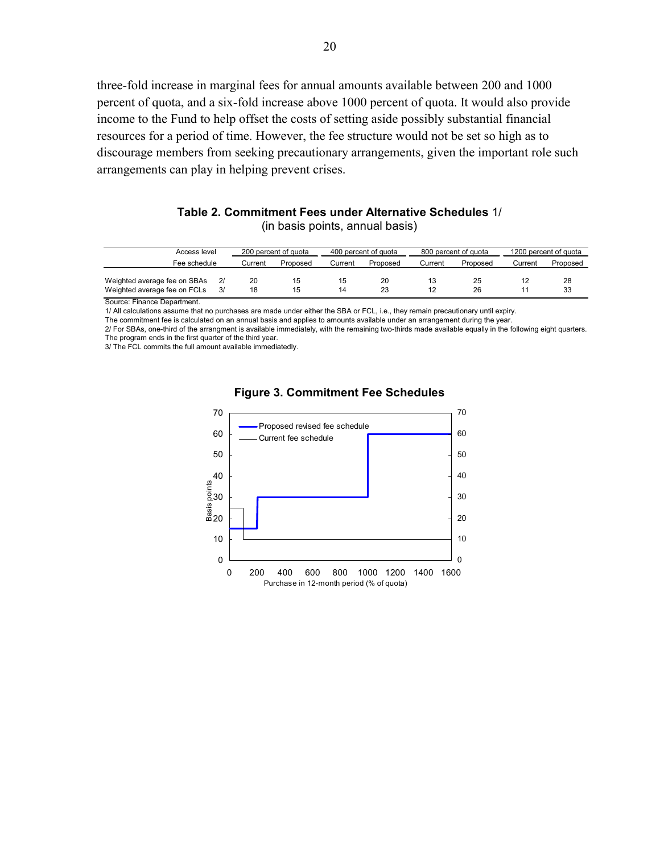three-fold increase in marginal fees for annual amounts available between 200 and 1000 percent of quota, and a six-fold increase above 1000 percent of quota. It would also provide income to the Fund to help offset the costs of setting aside possibly substantial financial resources for a period of time. However, the fee structure would not be set so high as to discourage members from seeking precautionary arrangements, given the important role such arrangements can play in helping prevent crises.

| Table 2. Commitment Fees under Alternative Schedules 1/ |                                 |  |  |
|---------------------------------------------------------|---------------------------------|--|--|
|                                                         | (in basis points, annual basis) |  |  |

| Access level                                                 |  | 200 percent of quota |          | 400 percent of quota |          | 800 percent of quota |          | 1200 percent of quota |          |
|--------------------------------------------------------------|--|----------------------|----------|----------------------|----------|----------------------|----------|-----------------------|----------|
| Fee schedule                                                 |  | Current              | Proposed | Current              | Proposed | Current              | Proposed | Current               | Proposed |
| Weighted average fee on SBAs<br>Weighted average fee on FCLs |  | 20<br>18             | 15<br>15 | 15<br>14             | 20<br>23 |                      | 25<br>26 |                       | 28<br>33 |

Source: Finance Department.

1/ All calculations assume that no purchases are made under either the SBA or FCL, i.e., they remain precautionary until expiry.

The commitment fee is calculated on an annual basis and applies to amounts available under an arrangement during the year.

2/ For SBAs, one-third of the arrangment is available immediately, with the remaining two-thirds made available equally in the following eight quarters. The program ends in the first quarter of the third year.

3/ The FCL commits the full amount available immediatedly.



#### **Figure 3. Commitment Fee Schedules**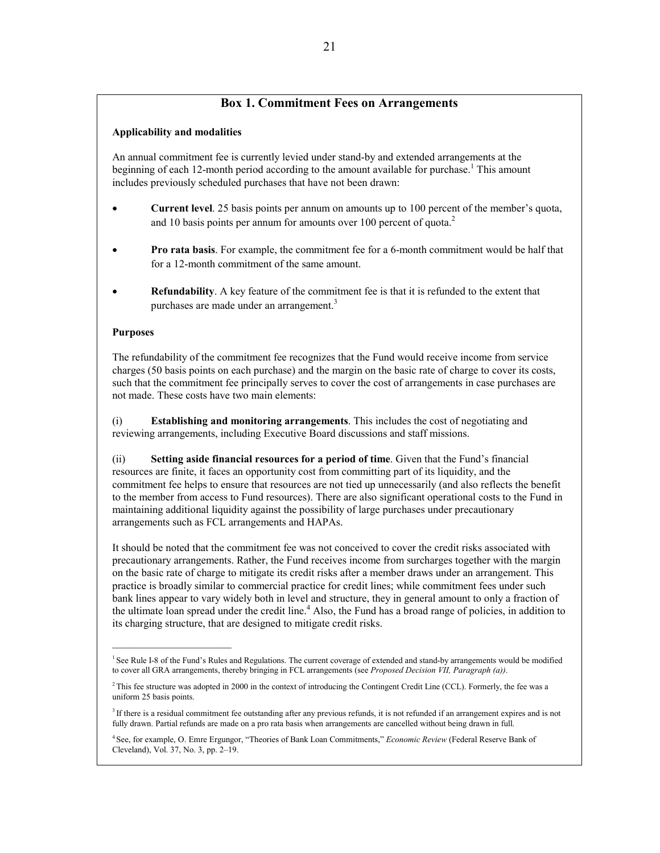### **Box 1. Commitment Fees on Arrangements**

#### **Applicability and modalities**

An annual commitment fee is currently levied under stand-by and extended arrangements at the beginning of each 12-month period according to the amount available for purchase.<sup>1</sup> This amount includes previously scheduled purchases that have not been drawn:

- **Current level**. 25 basis points per annum on amounts up to 100 percent of the member's quota, and 10 basis points per annum for amounts over 100 percent of quota.<sup>2</sup>
- **Pro rata basis**. For example, the commitment fee for a 6-month commitment would be half that for a 12-month commitment of the same amount.
- **Refundability**. A key feature of the commitment fee is that it is refunded to the extent that purchases are made under an arrangement.<sup>3</sup>

#### **Purposes**

 $\overline{\phantom{a}}$  , where  $\overline{\phantom{a}}$  , where  $\overline{\phantom{a}}$ 

The refundability of the commitment fee recognizes that the Fund would receive income from service charges (50 basis points on each purchase) and the margin on the basic rate of charge to cover its costs, such that the commitment fee principally serves to cover the cost of arrangements in case purchases are not made. These costs have two main elements:

(i) **Establishing and monitoring arrangements**. This includes the cost of negotiating and reviewing arrangements, including Executive Board discussions and staff missions.

(ii) **Setting aside financial resources for a period of time**. Given that the Fund's financial resources are finite, it faces an opportunity cost from committing part of its liquidity, and the commitment fee helps to ensure that resources are not tied up unnecessarily (and also reflects the benefit to the member from access to Fund resources). There are also significant operational costs to the Fund in maintaining additional liquidity against the possibility of large purchases under precautionary arrangements such as FCL arrangements and HAPAs.

It should be noted that the commitment fee was not conceived to cover the credit risks associated with precautionary arrangements. Rather, the Fund receives income from surcharges together with the margin on the basic rate of charge to mitigate its credit risks after a member draws under an arrangement. This practice is broadly similar to commercial practice for credit lines; while commitment fees under such bank lines appear to vary widely both in level and structure, they in general amount to only a fraction of the ultimate loan spread under the credit line.<sup>4</sup> Also, the Fund has a broad range of policies, in addition to its charging structure, that are designed to mitigate credit risks.

<sup>&</sup>lt;sup>1</sup> See Rule I-8 of the Fund's Rules and Regulations. The current coverage of extended and stand-by arrangements would be modified to cover all GRA arrangements, thereby bringing in FCL arrangements (see *Proposed Decision VII, Paragraph (a))*.

<sup>&</sup>lt;sup>2</sup> This fee structure was adopted in 2000 in the context of introducing the Contingent Credit Line (CCL). Formerly, the fee was a uniform 25 basis points.

 $3$  If there is a residual commitment fee outstanding after any previous refunds, it is not refunded if an arrangement expires and is not fully drawn. Partial refunds are made on a pro rata basis when arrangements are cancelled without being drawn in full.

<sup>4</sup> See, for example, O. Emre Ergungor, "Theories of Bank Loan Commitments," *Economic Review* (Federal Reserve Bank of Cleveland), Vol. 37, No. 3, pp. 2–19.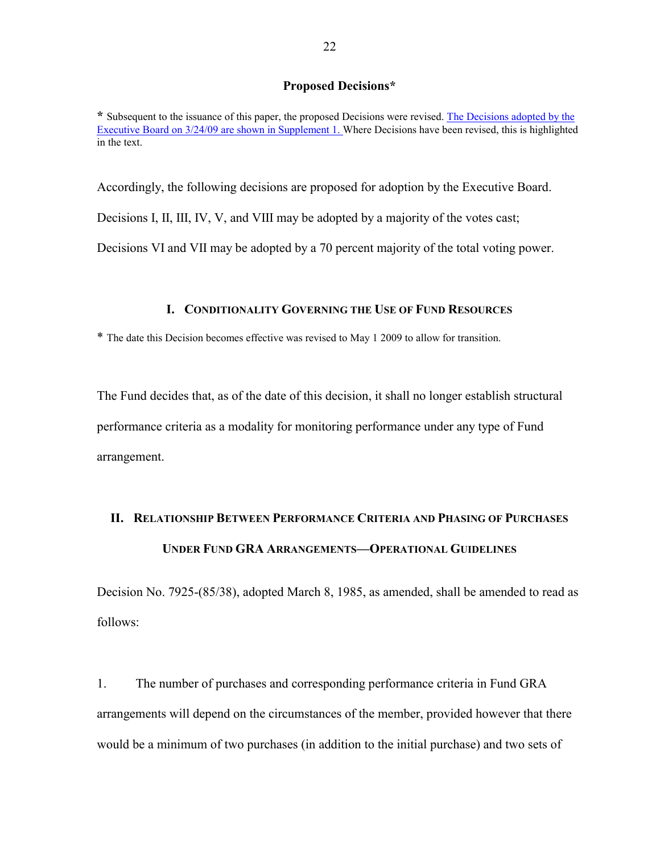#### **Proposed Decisions\***

**\*** Subsequent to the issuance of this paper, the proposed Decisions were revised. [The Decisions adopted by the](http://www.imf.org/external/np/pp/eng/2009/031909.pdf)  [Executive Board on 3/24/09 are shown in Supplement 1.](http://www.imf.org/external/np/pp/eng/2009/031909.pdf) Where Decisions have been revised, this is highlighted in the text.

Accordingly, the following decisions are proposed for adoption by the Executive Board.

Decisions I, II, III, IV, V, and VIII may be adopted by a majority of the votes cast;

Decisions VI and VII may be adopted by a 70 percent majority of the total voting power.

#### **I. CONDITIONALITY GOVERNING THE USE OF FUND RESOURCES**

\* The date this Decision becomes effective was revised to May 1 2009 to allow for transition.

The Fund decides that, as of the date of this decision, it shall no longer establish structural performance criteria as a modality for monitoring performance under any type of Fund arrangement.

## **II. RELATIONSHIP BETWEEN PERFORMANCE CRITERIA AND PHASING OF PURCHASES UNDER FUND GRA ARRANGEMENTS—OPERATIONAL GUIDELINES**

Decision No. 7925-(85/38), adopted March 8, 1985, as amended, shall be amended to read as follows:

1. The number of purchases and corresponding performance criteria in Fund GRA arrangements will depend on the circumstances of the member, provided however that there would be a minimum of two purchases (in addition to the initial purchase) and two sets of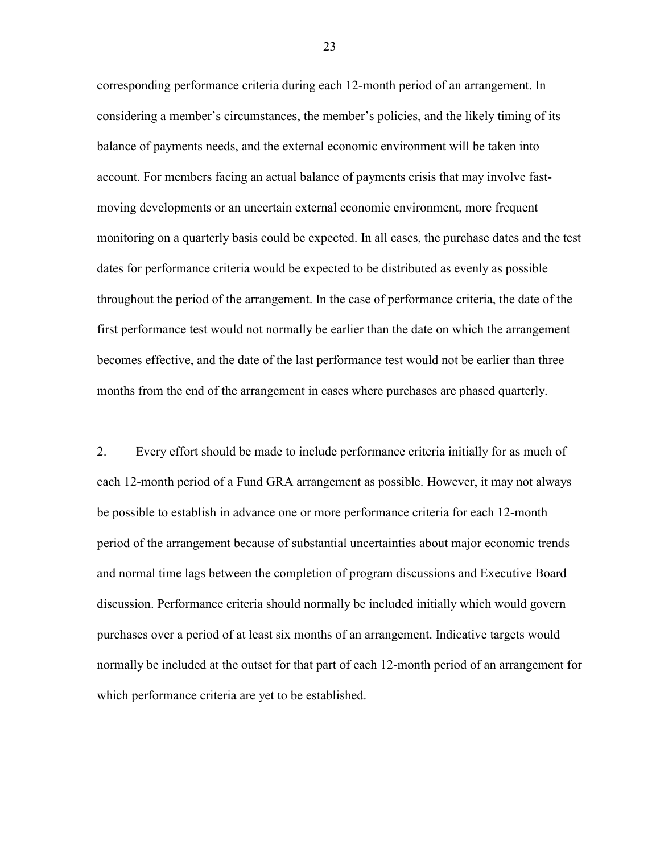corresponding performance criteria during each 12-month period of an arrangement. In considering a member's circumstances, the member's policies, and the likely timing of its balance of payments needs, and the external economic environment will be taken into account. For members facing an actual balance of payments crisis that may involve fastmoving developments or an uncertain external economic environment, more frequent monitoring on a quarterly basis could be expected. In all cases, the purchase dates and the test dates for performance criteria would be expected to be distributed as evenly as possible throughout the period of the arrangement. In the case of performance criteria, the date of the first performance test would not normally be earlier than the date on which the arrangement becomes effective, and the date of the last performance test would not be earlier than three months from the end of the arrangement in cases where purchases are phased quarterly.

2. Every effort should be made to include performance criteria initially for as much of each 12-month period of a Fund GRA arrangement as possible. However, it may not always be possible to establish in advance one or more performance criteria for each 12-month period of the arrangement because of substantial uncertainties about major economic trends and normal time lags between the completion of program discussions and Executive Board discussion. Performance criteria should normally be included initially which would govern purchases over a period of at least six months of an arrangement. Indicative targets would normally be included at the outset for that part of each 12-month period of an arrangement for which performance criteria are yet to be established.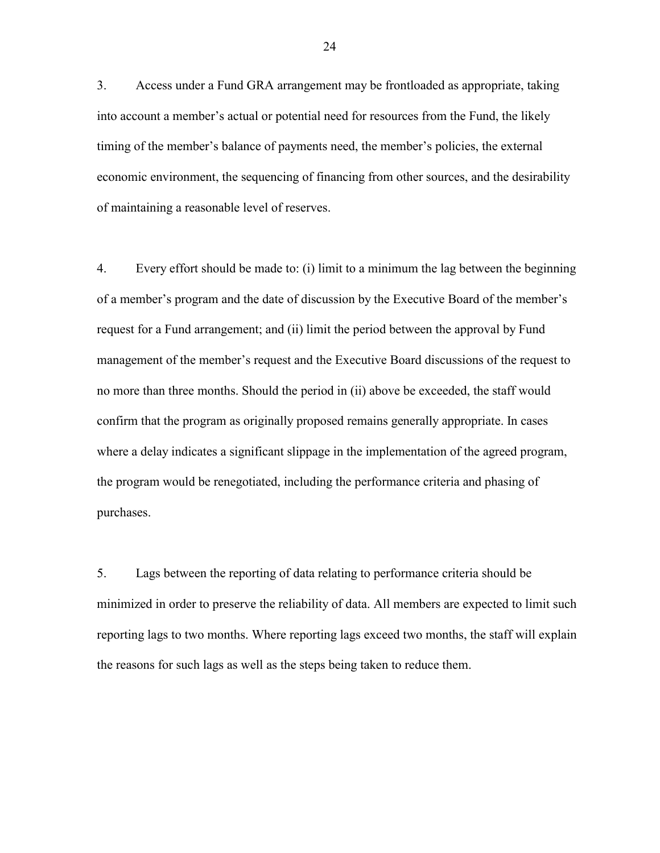3. Access under a Fund GRA arrangement may be frontloaded as appropriate, taking into account a member's actual or potential need for resources from the Fund, the likely timing of the member's balance of payments need, the member's policies, the external economic environment, the sequencing of financing from other sources, and the desirability of maintaining a reasonable level of reserves.

4. Every effort should be made to: (i) limit to a minimum the lag between the beginning of a member's program and the date of discussion by the Executive Board of the member's request for a Fund arrangement; and (ii) limit the period between the approval by Fund management of the member's request and the Executive Board discussions of the request to no more than three months. Should the period in (ii) above be exceeded, the staff would confirm that the program as originally proposed remains generally appropriate. In cases where a delay indicates a significant slippage in the implementation of the agreed program, the program would be renegotiated, including the performance criteria and phasing of purchases.

5. Lags between the reporting of data relating to performance criteria should be minimized in order to preserve the reliability of data. All members are expected to limit such reporting lags to two months. Where reporting lags exceed two months, the staff will explain the reasons for such lags as well as the steps being taken to reduce them.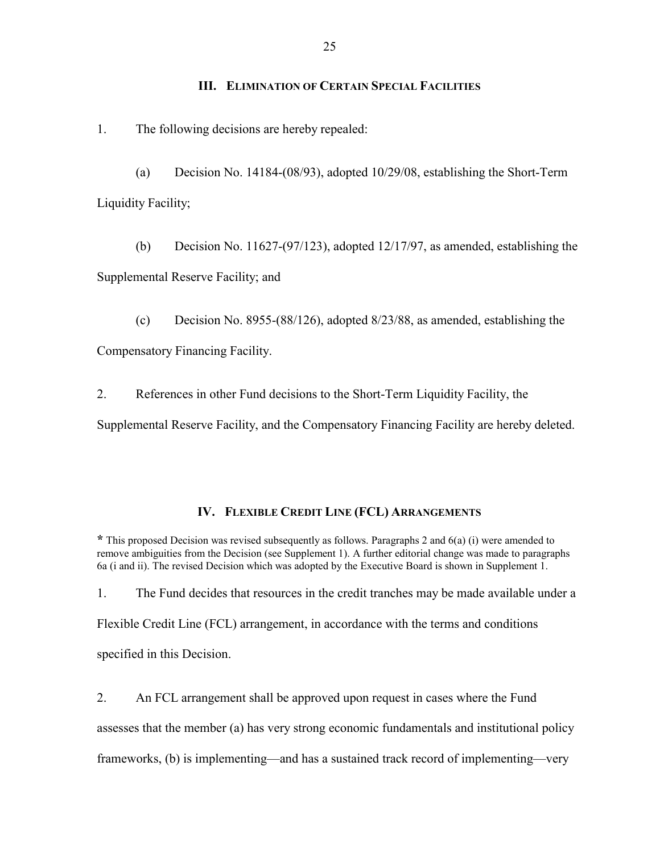#### **III. ELIMINATION OF CERTAIN SPECIAL FACILITIES**

1. The following decisions are hereby repealed:

(a) Decision No. 14184-(08/93), adopted 10/29/08, establishing the Short-Term Liquidity Facility;

(b) Decision No. 11627-(97/123), adopted 12/17/97, as amended, establishing the Supplemental Reserve Facility; and

(c) Decision No. 8955-(88/126), adopted 8/23/88, as amended, establishing the Compensatory Financing Facility.

2. References in other Fund decisions to the Short-Term Liquidity Facility, the Supplemental Reserve Facility, and the Compensatory Financing Facility are hereby deleted.

#### **IV. FLEXIBLE CREDIT LINE (FCL) ARRANGEMENTS**

**\*** This proposed Decision was revised subsequently as follows. Paragraphs 2 and 6(a) (i) were amended to remove ambiguities from the Decision (see Supplement 1). A further editorial change was made to paragraphs 6a (i and ii). The revised Decision which was adopted by the Executive Board is shown in Supplement 1.

1. The Fund decides that resources in the credit tranches may be made available under a Flexible Credit Line (FCL) arrangement, in accordance with the terms and conditions specified in this Decision.

2. An FCL arrangement shall be approved upon request in cases where the Fund assesses that the member (a) has very strong economic fundamentals and institutional policy frameworks, (b) is implementing—and has a sustained track record of implementing—very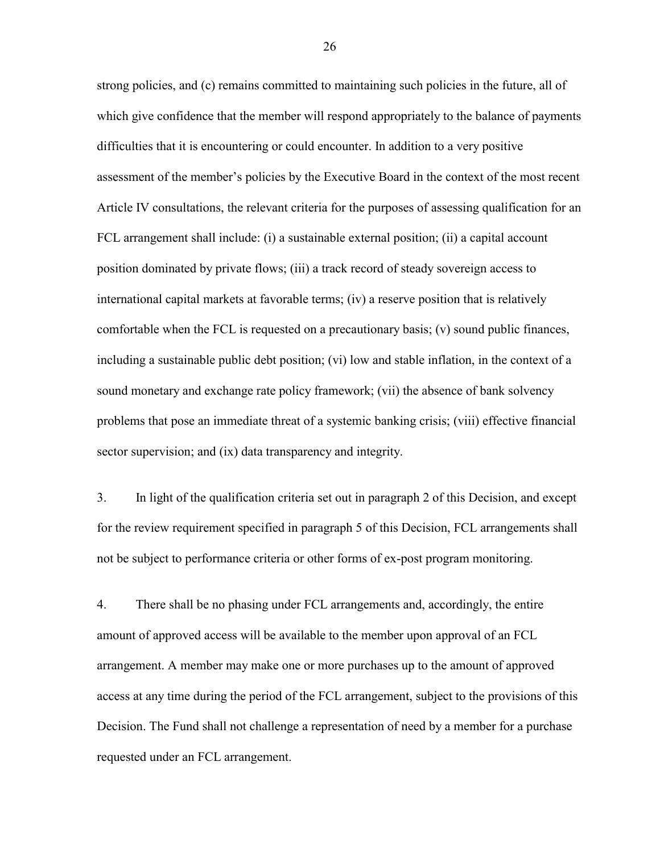strong policies, and (c) remains committed to maintaining such policies in the future, all of which give confidence that the member will respond appropriately to the balance of payments difficulties that it is encountering or could encounter. In addition to a very positive assessment of the member's policies by the Executive Board in the context of the most recent Article IV consultations, the relevant criteria for the purposes of assessing qualification for an FCL arrangement shall include: (i) a sustainable external position; (ii) a capital account position dominated by private flows; (iii) a track record of steady sovereign access to international capital markets at favorable terms; (iv) a reserve position that is relatively comfortable when the FCL is requested on a precautionary basis; (v) sound public finances, including a sustainable public debt position; (vi) low and stable inflation, in the context of a sound monetary and exchange rate policy framework; (vii) the absence of bank solvency problems that pose an immediate threat of a systemic banking crisis; (viii) effective financial sector supervision; and (ix) data transparency and integrity.

3. In light of the qualification criteria set out in paragraph 2 of this Decision, and except for the review requirement specified in paragraph 5 of this Decision, FCL arrangements shall not be subject to performance criteria or other forms of ex-post program monitoring.

4. There shall be no phasing under FCL arrangements and, accordingly, the entire amount of approved access will be available to the member upon approval of an FCL arrangement. A member may make one or more purchases up to the amount of approved access at any time during the period of the FCL arrangement, subject to the provisions of this Decision. The Fund shall not challenge a representation of need by a member for a purchase requested under an FCL arrangement.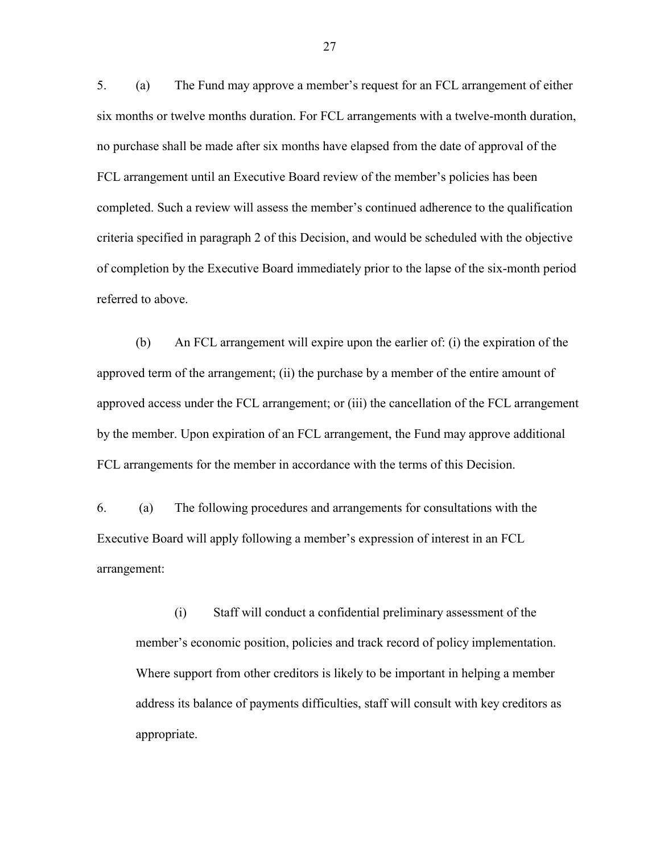5. (a) The Fund may approve a member's request for an FCL arrangement of either six months or twelve months duration. For FCL arrangements with a twelve-month duration, no purchase shall be made after six months have elapsed from the date of approval of the FCL arrangement until an Executive Board review of the member's policies has been completed. Such a review will assess the member's continued adherence to the qualification criteria specified in paragraph 2 of this Decision, and would be scheduled with the objective of completion by the Executive Board immediately prior to the lapse of the six-month period referred to above.

(b) An FCL arrangement will expire upon the earlier of: (i) the expiration of the approved term of the arrangement; (ii) the purchase by a member of the entire amount of approved access under the FCL arrangement; or (iii) the cancellation of the FCL arrangement by the member. Upon expiration of an FCL arrangement, the Fund may approve additional FCL arrangements for the member in accordance with the terms of this Decision.

6. (a) The following procedures and arrangements for consultations with the Executive Board will apply following a member's expression of interest in an FCL arrangement:

(i) Staff will conduct a confidential preliminary assessment of the member's economic position, policies and track record of policy implementation. Where support from other creditors is likely to be important in helping a member address its balance of payments difficulties, staff will consult with key creditors as appropriate.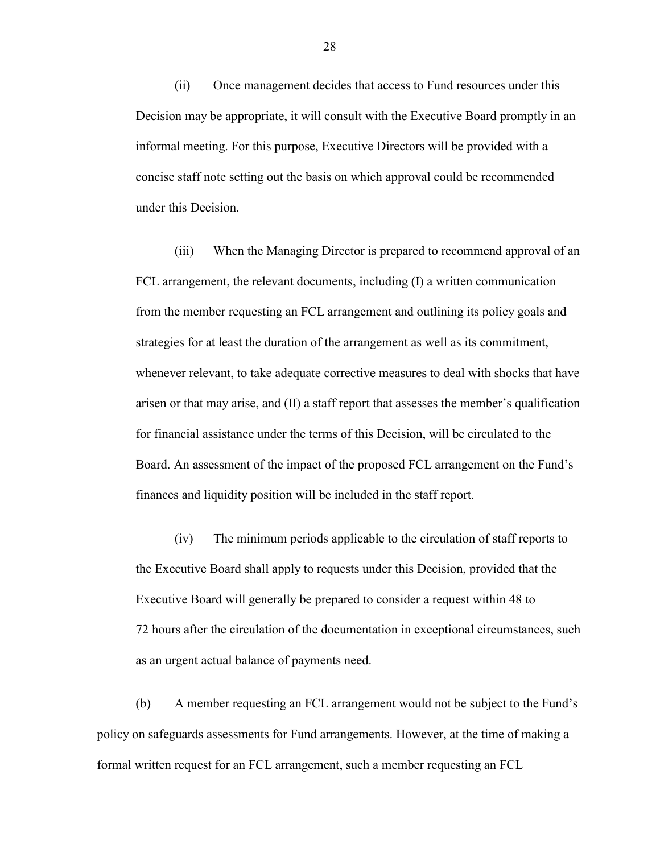(ii) Once management decides that access to Fund resources under this Decision may be appropriate, it will consult with the Executive Board promptly in an informal meeting. For this purpose, Executive Directors will be provided with a concise staff note setting out the basis on which approval could be recommended under this Decision.

(iii) When the Managing Director is prepared to recommend approval of an FCL arrangement, the relevant documents, including (I) a written communication from the member requesting an FCL arrangement and outlining its policy goals and strategies for at least the duration of the arrangement as well as its commitment, whenever relevant, to take adequate corrective measures to deal with shocks that have arisen or that may arise, and (II) a staff report that assesses the member's qualification for financial assistance under the terms of this Decision, will be circulated to the Board. An assessment of the impact of the proposed FCL arrangement on the Fund's finances and liquidity position will be included in the staff report.

(iv) The minimum periods applicable to the circulation of staff reports to the Executive Board shall apply to requests under this Decision, provided that the Executive Board will generally be prepared to consider a request within 48 to 72 hours after the circulation of the documentation in exceptional circumstances, such as an urgent actual balance of payments need.

 (b) A member requesting an FCL arrangement would not be subject to the Fund's policy on safeguards assessments for Fund arrangements. However, at the time of making a formal written request for an FCL arrangement, such a member requesting an FCL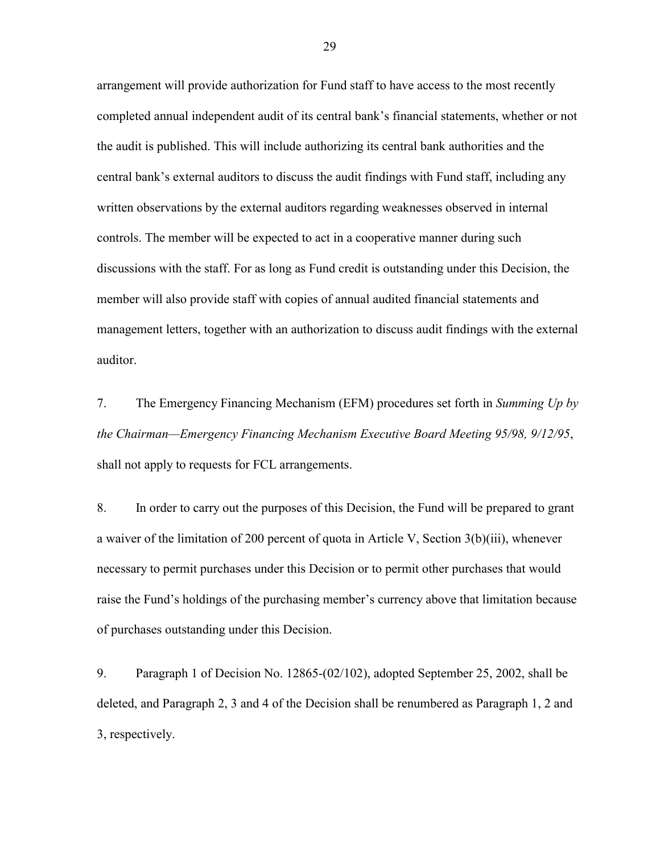arrangement will provide authorization for Fund staff to have access to the most recently completed annual independent audit of its central bank's financial statements, whether or not the audit is published. This will include authorizing its central bank authorities and the central bank's external auditors to discuss the audit findings with Fund staff, including any written observations by the external auditors regarding weaknesses observed in internal controls. The member will be expected to act in a cooperative manner during such discussions with the staff. For as long as Fund credit is outstanding under this Decision, the member will also provide staff with copies of annual audited financial statements and management letters, together with an authorization to discuss audit findings with the external auditor.

7. The Emergency Financing Mechanism (EFM) procedures set forth in *Summing Up by the Chairman—Emergency Financing Mechanism Executive Board Meeting 95/98, 9/12/95*, shall not apply to requests for FCL arrangements.

8. In order to carry out the purposes of this Decision, the Fund will be prepared to grant a waiver of the limitation of 200 percent of quota in Article V, Section 3(b)(iii), whenever necessary to permit purchases under this Decision or to permit other purchases that would raise the Fund's holdings of the purchasing member's currency above that limitation because of purchases outstanding under this Decision.

9. Paragraph 1 of Decision No. 12865-(02/102), adopted September 25, 2002, shall be deleted, and Paragraph 2, 3 and 4 of the Decision shall be renumbered as Paragraph 1, 2 and 3, respectively.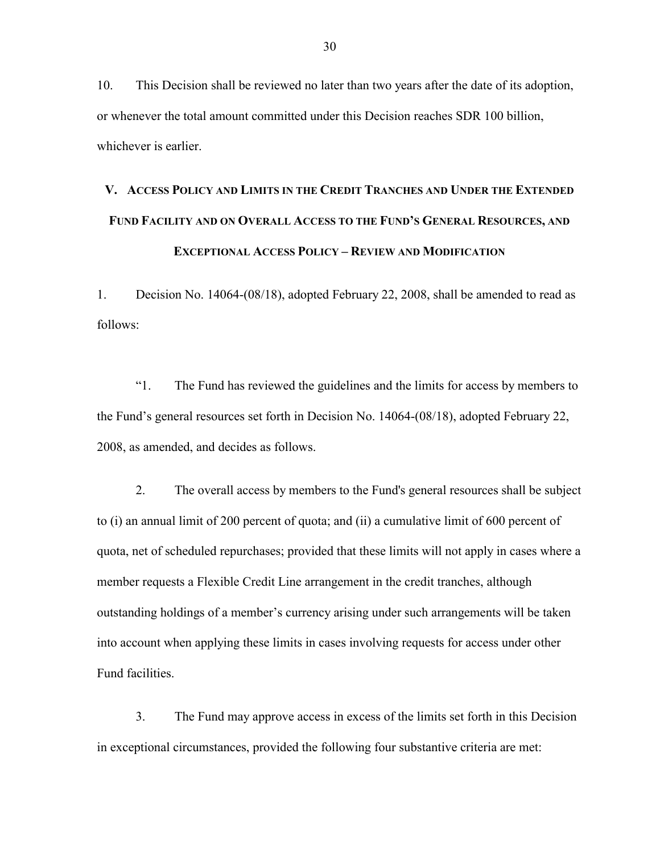10. This Decision shall be reviewed no later than two years after the date of its adoption, or whenever the total amount committed under this Decision reaches SDR 100 billion, whichever is earlier.

# **V. ACCESS POLICY AND LIMITS IN THE CREDIT TRANCHES AND UNDER THE EXTENDED FUND FACILITY AND ON OVERALL ACCESS TO THE FUND'S GENERAL RESOURCES, AND EXCEPTIONAL ACCESS POLICY – REVIEW AND MODIFICATION**

1. Decision No. 14064-(08/18), adopted February 22, 2008, shall be amended to read as follows:

"1. The Fund has reviewed the guidelines and the limits for access by members to the Fund's general resources set forth in Decision No. 14064-(08/18), adopted February 22, 2008, as amended, and decides as follows.

2. The overall access by members to the Fund's general resources shall be subject to (i) an annual limit of 200 percent of quota; and (ii) a cumulative limit of 600 percent of quota, net of scheduled repurchases; provided that these limits will not apply in cases where a member requests a Flexible Credit Line arrangement in the credit tranches, although outstanding holdings of a member's currency arising under such arrangements will be taken into account when applying these limits in cases involving requests for access under other Fund facilities.

3. The Fund may approve access in excess of the limits set forth in this Decision in exceptional circumstances, provided the following four substantive criteria are met: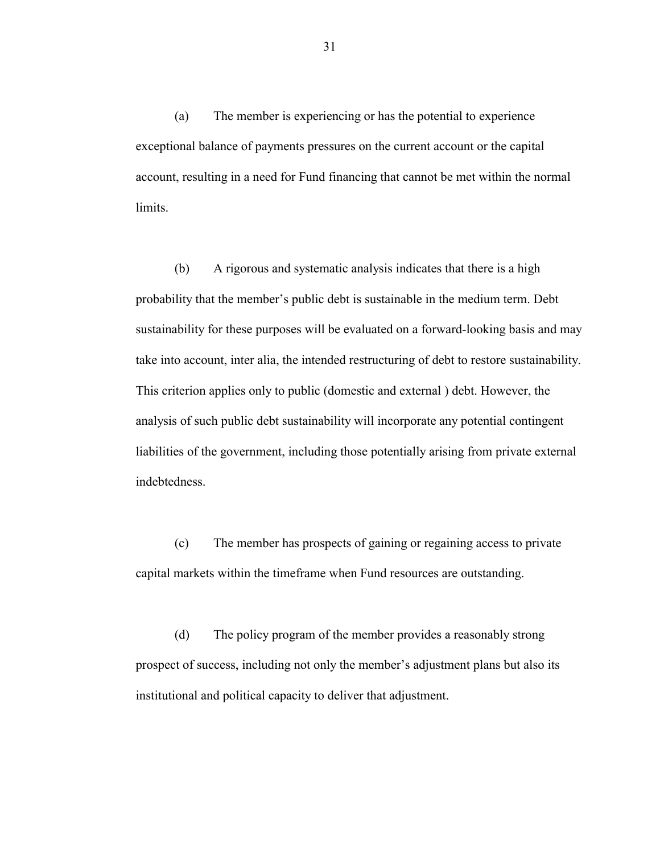(a) The member is experiencing or has the potential to experience exceptional balance of payments pressures on the current account or the capital account, resulting in a need for Fund financing that cannot be met within the normal limits.

(b) A rigorous and systematic analysis indicates that there is a high probability that the member's public debt is sustainable in the medium term. Debt sustainability for these purposes will be evaluated on a forward-looking basis and may take into account, inter alia, the intended restructuring of debt to restore sustainability. This criterion applies only to public (domestic and external ) debt. However, the analysis of such public debt sustainability will incorporate any potential contingent liabilities of the government, including those potentially arising from private external indebtedness.

(c) The member has prospects of gaining or regaining access to private capital markets within the timeframe when Fund resources are outstanding.

(d) The policy program of the member provides a reasonably strong prospect of success, including not only the member's adjustment plans but also its institutional and political capacity to deliver that adjustment.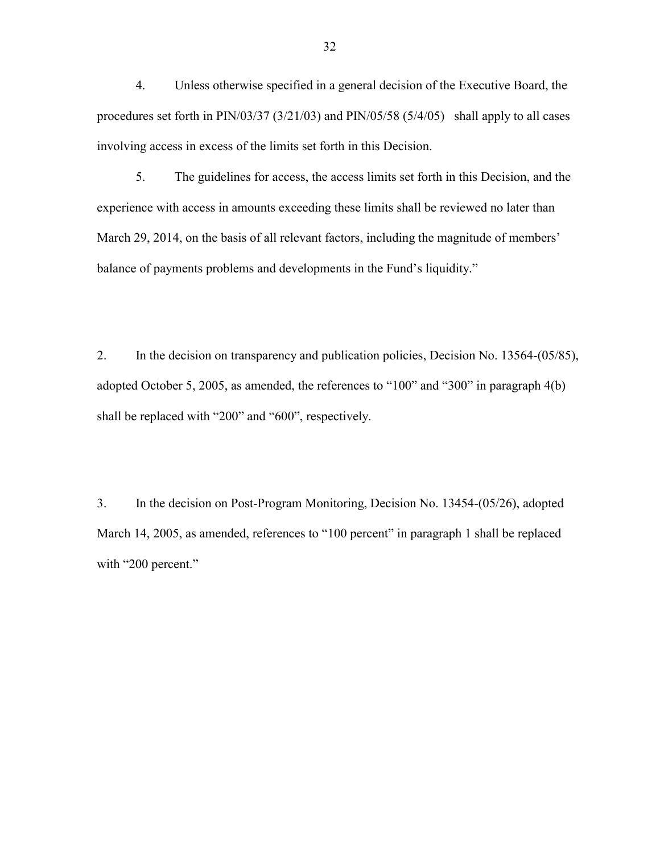4. Unless otherwise specified in a general decision of the Executive Board, the procedures set forth in PIN/03/37 (3/21/03) and PIN/05/58 (5/4/05) shall apply to all cases involving access in excess of the limits set forth in this Decision.

5. The guidelines for access, the access limits set forth in this Decision, and the experience with access in amounts exceeding these limits shall be reviewed no later than March 29, 2014, on the basis of all relevant factors, including the magnitude of members' balance of payments problems and developments in the Fund's liquidity."

2. In the decision on transparency and publication policies, Decision No. 13564-(05/85), adopted October 5, 2005, as amended, the references to "100" and "300" in paragraph 4(b) shall be replaced with "200" and "600", respectively.

3. In the decision on Post-Program Monitoring, Decision No. 13454-(05/26), adopted March 14, 2005, as amended, references to "100 percent" in paragraph 1 shall be replaced with "200 percent."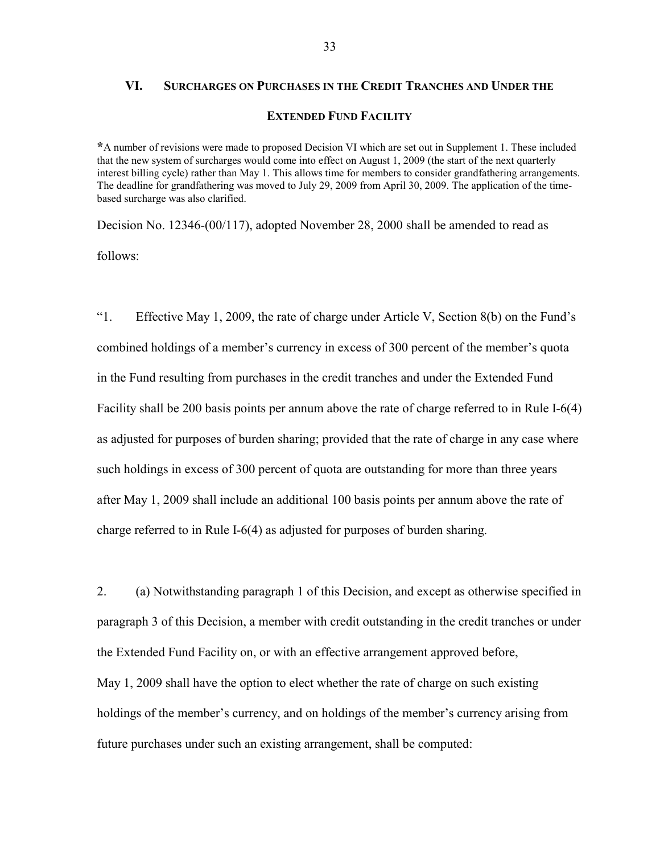## **VI. SURCHARGES ON PURCHASES IN THE CREDIT TRANCHES AND UNDER THE EXTENDED FUND FACILITY**

**\***A number of revisions were made to proposed Decision VI which are set out in Supplement 1. These included that the new system of surcharges would come into effect on August 1, 2009 (the start of the next quarterly interest billing cycle) rather than May 1. This allows time for members to consider grandfathering arrangements. The deadline for grandfathering was moved to July 29, 2009 from April 30, 2009. The application of the timebased surcharge was also clarified.

Decision No. 12346-(00/117), adopted November 28, 2000 shall be amended to read as follows:

"1. Effective May 1, 2009, the rate of charge under Article V, Section 8(b) on the Fund's combined holdings of a member's currency in excess of 300 percent of the member's quota in the Fund resulting from purchases in the credit tranches and under the Extended Fund Facility shall be 200 basis points per annum above the rate of charge referred to in Rule I-6(4) as adjusted for purposes of burden sharing; provided that the rate of charge in any case where such holdings in excess of 300 percent of quota are outstanding for more than three years after May 1, 2009 shall include an additional 100 basis points per annum above the rate of charge referred to in Rule I-6(4) as adjusted for purposes of burden sharing.

2. (a) Notwithstanding paragraph 1 of this Decision, and except as otherwise specified in paragraph 3 of this Decision, a member with credit outstanding in the credit tranches or under the Extended Fund Facility on, or with an effective arrangement approved before, May 1, 2009 shall have the option to elect whether the rate of charge on such existing holdings of the member's currency, and on holdings of the member's currency arising from future purchases under such an existing arrangement, shall be computed: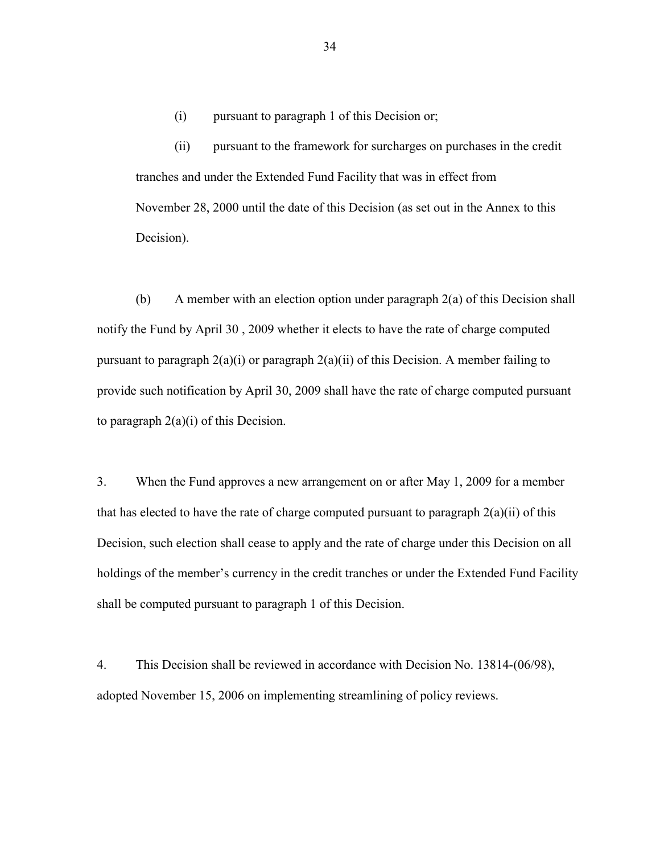(i) pursuant to paragraph 1 of this Decision or;

(ii) pursuant to the framework for surcharges on purchases in the credit tranches and under the Extended Fund Facility that was in effect from November 28, 2000 until the date of this Decision (as set out in the Annex to this Decision).

(b) A member with an election option under paragraph 2(a) of this Decision shall notify the Fund by April 30 , 2009 whether it elects to have the rate of charge computed pursuant to paragraph  $2(a)(i)$  or paragraph  $2(a)(ii)$  of this Decision. A member failing to provide such notification by April 30, 2009 shall have the rate of charge computed pursuant to paragraph  $2(a)(i)$  of this Decision.

3. When the Fund approves a new arrangement on or after May 1, 2009 for a member that has elected to have the rate of charge computed pursuant to paragraph  $2(a)(ii)$  of this Decision, such election shall cease to apply and the rate of charge under this Decision on all holdings of the member's currency in the credit tranches or under the Extended Fund Facility shall be computed pursuant to paragraph 1 of this Decision.

4. This Decision shall be reviewed in accordance with Decision No. 13814-(06/98), adopted November 15, 2006 on implementing streamlining of policy reviews.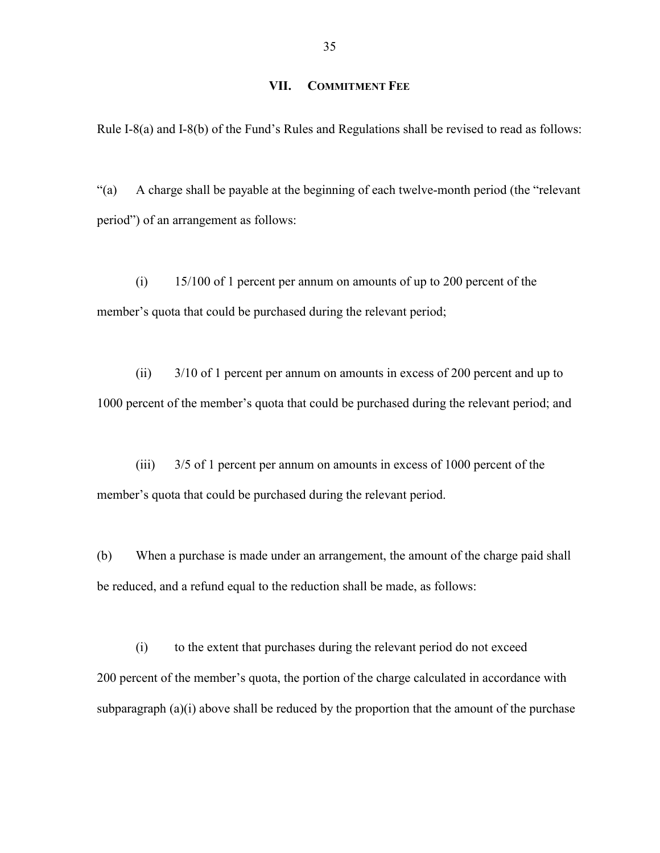#### **VII. COMMITMENT FEE**

Rule I-8(a) and I-8(b) of the Fund's Rules and Regulations shall be revised to read as follows:

"(a) A charge shall be payable at the beginning of each twelve-month period (the "relevant period") of an arrangement as follows:

(i) 15/100 of 1 percent per annum on amounts of up to 200 percent of the member's quota that could be purchased during the relevant period;

(ii) 3/10 of 1 percent per annum on amounts in excess of 200 percent and up to 1000 percent of the member's quota that could be purchased during the relevant period; and

(iii) 3/5 of 1 percent per annum on amounts in excess of 1000 percent of the member's quota that could be purchased during the relevant period.

(b) When a purchase is made under an arrangement, the amount of the charge paid shall be reduced, and a refund equal to the reduction shall be made, as follows:

(i) to the extent that purchases during the relevant period do not exceed 200 percent of the member's quota, the portion of the charge calculated in accordance with subparagraph  $(a)(i)$  above shall be reduced by the proportion that the amount of the purchase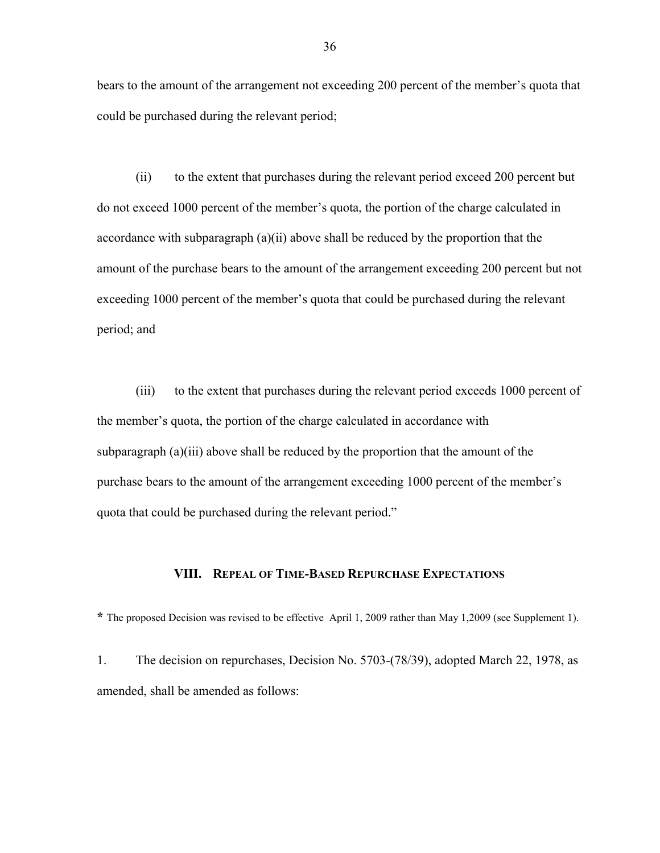bears to the amount of the arrangement not exceeding 200 percent of the member's quota that could be purchased during the relevant period;

(ii) to the extent that purchases during the relevant period exceed 200 percent but do not exceed 1000 percent of the member's quota, the portion of the charge calculated in accordance with subparagraph (a)(ii) above shall be reduced by the proportion that the amount of the purchase bears to the amount of the arrangement exceeding 200 percent but not exceeding 1000 percent of the member's quota that could be purchased during the relevant period; and

(iii) to the extent that purchases during the relevant period exceeds 1000 percent of the member's quota, the portion of the charge calculated in accordance with subparagraph (a)(iii) above shall be reduced by the proportion that the amount of the purchase bears to the amount of the arrangement exceeding 1000 percent of the member's quota that could be purchased during the relevant period."

#### **VIII. REPEAL OF TIME-BASED REPURCHASE EXPECTATIONS**

**\*** The proposed Decision was revised to be effective April 1, 2009 rather than May 1,2009 (see Supplement 1).

1. The decision on repurchases, Decision No. 5703-(78/39), adopted March 22, 1978, as amended, shall be amended as follows: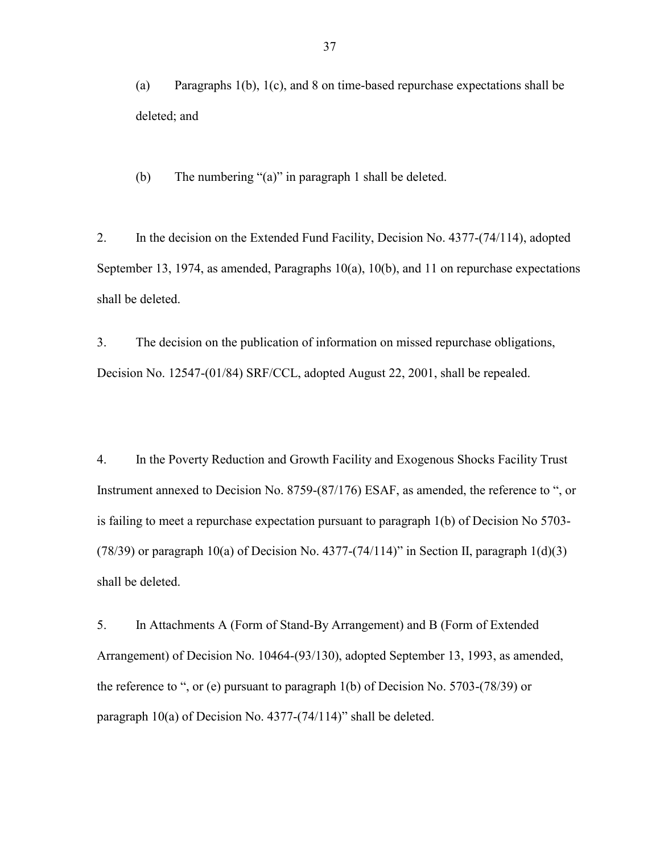(a) Paragraphs 1(b), 1(c), and 8 on time-based repurchase expectations shall be deleted; and

(b) The numbering "(a)" in paragraph 1 shall be deleted.

2. In the decision on the Extended Fund Facility, Decision No. 4377-(74/114), adopted September 13, 1974, as amended, Paragraphs 10(a), 10(b), and 11 on repurchase expectations shall be deleted.

3. The decision on the publication of information on missed repurchase obligations, Decision No. 12547-(01/84) SRF/CCL, adopted August 22, 2001, shall be repealed.

4. In the Poverty Reduction and Growth Facility and Exogenous Shocks Facility Trust Instrument annexed to Decision No. 8759-(87/176) ESAF, as amended, the reference to ", or is failing to meet a repurchase expectation pursuant to paragraph 1(b) of Decision No 5703- (78/39) or paragraph 10(a) of Decision No. 4377-(74/114)" in Section II, paragraph  $1(d)(3)$ shall be deleted.

5. In Attachments A (Form of Stand-By Arrangement) and B (Form of Extended Arrangement) of Decision No. 10464-(93/130), adopted September 13, 1993, as amended, the reference to ", or (e) pursuant to paragraph 1(b) of Decision No. 5703-(78/39) or paragraph 10(a) of Decision No. 4377-(74/114)" shall be deleted.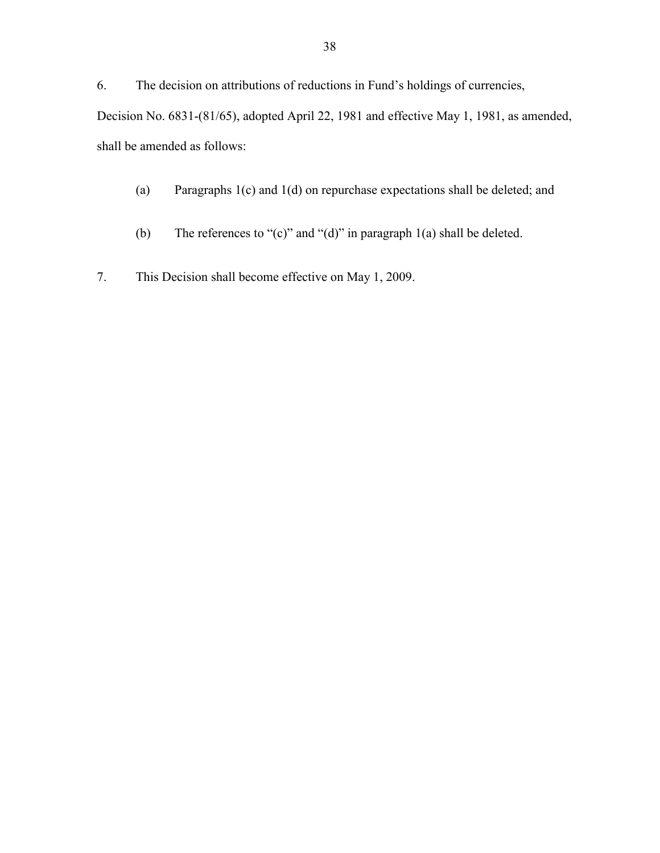6. The decision on attributions of reductions in Fund's holdings of currencies, Decision No. 6831-(81/65), adopted April 22, 1981 and effective May 1, 1981, as amended, shall be amended as follows:

- (a) Paragraphs 1(c) and 1(d) on repurchase expectations shall be deleted; and
- (b) The references to "(c)" and "(d)" in paragraph  $1(a)$  shall be deleted.
- 7. This Decision shall become effective on May 1, 2009.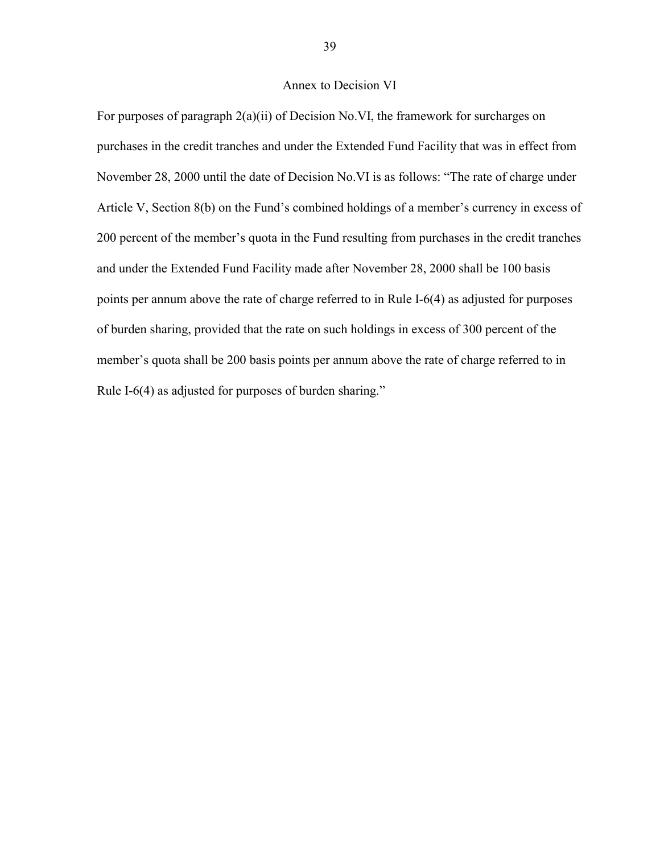#### Annex to Decision VI

For purposes of paragraph 2(a)(ii) of Decision No.VI, the framework for surcharges on purchases in the credit tranches and under the Extended Fund Facility that was in effect from November 28, 2000 until the date of Decision No.VI is as follows: "The rate of charge under Article V, Section 8(b) on the Fund's combined holdings of a member's currency in excess of 200 percent of the member's quota in the Fund resulting from purchases in the credit tranches and under the Extended Fund Facility made after November 28, 2000 shall be 100 basis points per annum above the rate of charge referred to in Rule I-6(4) as adjusted for purposes of burden sharing, provided that the rate on such holdings in excess of 300 percent of the member's quota shall be 200 basis points per annum above the rate of charge referred to in Rule I-6(4) as adjusted for purposes of burden sharing."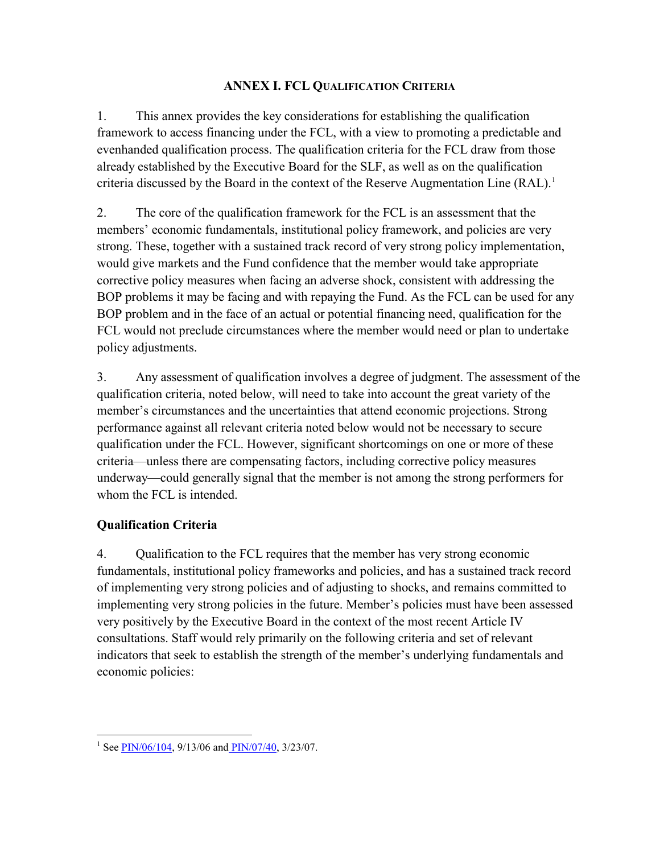## **ANNEX I. FCL QUALIFICATION CRITERIA**

<span id="page-39-0"></span>1. This annex provides the key considerations for establishing the qualification framework to access financing under the FCL, with a view to promoting a predictable and evenhanded qualification process. The qualification criteria for the FCL draw from those already established by the Executive Board for the SLF, as well as on the qualification criteria discussed by the Board in the context of the Reserve Augmentation Line (RAL).<sup>[1](#page-39-0)</sup>

2. The core of the qualification framework for the FCL is an assessment that the members' economic fundamentals, institutional policy framework, and policies are very strong. These, together with a sustained track record of very strong policy implementation, would give markets and the Fund confidence that the member would take appropriate corrective policy measures when facing an adverse shock, consistent with addressing the BOP problems it may be facing and with repaying the Fund. As the FCL can be used for any BOP problem and in the face of an actual or potential financing need, qualification for the FCL would not preclude circumstances where the member would need or plan to undertake policy adjustments.

3. Any assessment of qualification involves a degree of judgment. The assessment of the qualification criteria, noted below, will need to take into account the great variety of the member's circumstances and the uncertainties that attend economic projections. Strong performance against all relevant criteria noted below would not be necessary to secure qualification under the FCL. However, significant shortcomings on one or more of these criteria—unless there are compensating factors, including corrective policy measures underway—could generally signal that the member is not among the strong performers for whom the FCL is intended.

## **Qualification Criteria**

4. Qualification to the FCL requires that the member has very strong economic fundamentals, institutional policy frameworks and policies, and has a sustained track record of implementing very strong policies and of adjusting to shocks, and remains committed to implementing very strong policies in the future. Member's policies must have been assessed very positively by the Executive Board in the context of the most recent Article IV consultations. Staff would rely primarily on the following criteria and set of relevant indicators that seek to establish the strength of the member's underlying fundamentals and economic policies:

<sup>&</sup>lt;sup>1</sup> See <u>PIN/06/104</u>, 9/13/06 and <u>PIN/07/40</u>, 3/23/07.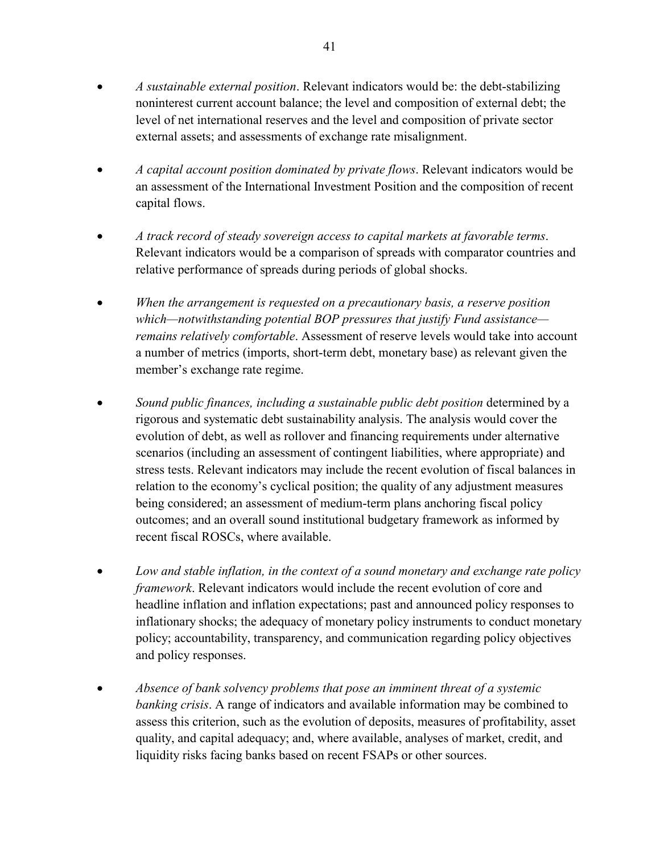- *A sustainable external position*. Relevant indicators would be: the debt-stabilizing noninterest current account balance; the level and composition of external debt; the level of net international reserves and the level and composition of private sector external assets; and assessments of exchange rate misalignment.
- *A capital account position dominated by private flows*. Relevant indicators would be an assessment of the International Investment Position and the composition of recent capital flows.
- *A track record of steady sovereign access to capital markets at favorable terms*. Relevant indicators would be a comparison of spreads with comparator countries and relative performance of spreads during periods of global shocks.
- *When the arrangement is requested on a precautionary basis, a reserve position which—notwithstanding potential BOP pressures that justify Fund assistance remains relatively comfortable*. Assessment of reserve levels would take into account a number of metrics (imports, short-term debt, monetary base) as relevant given the member's exchange rate regime.
- *Sound public finances, including a sustainable public debt position* determined by a rigorous and systematic debt sustainability analysis. The analysis would cover the evolution of debt, as well as rollover and financing requirements under alternative scenarios (including an assessment of contingent liabilities, where appropriate) and stress tests. Relevant indicators may include the recent evolution of fiscal balances in relation to the economy's cyclical position; the quality of any adjustment measures being considered; an assessment of medium-term plans anchoring fiscal policy outcomes; and an overall sound institutional budgetary framework as informed by recent fiscal ROSCs, where available.
- *Low and stable inflation, in the context of a sound monetary and exchange rate policy framework*. Relevant indicators would include the recent evolution of core and headline inflation and inflation expectations; past and announced policy responses to inflationary shocks; the adequacy of monetary policy instruments to conduct monetary policy; accountability, transparency, and communication regarding policy objectives and policy responses.
- *Absence of bank solvency problems that pose an imminent threat of a systemic banking crisis*. A range of indicators and available information may be combined to assess this criterion, such as the evolution of deposits, measures of profitability, asset quality, and capital adequacy; and, where available, analyses of market, credit, and liquidity risks facing banks based on recent FSAPs or other sources.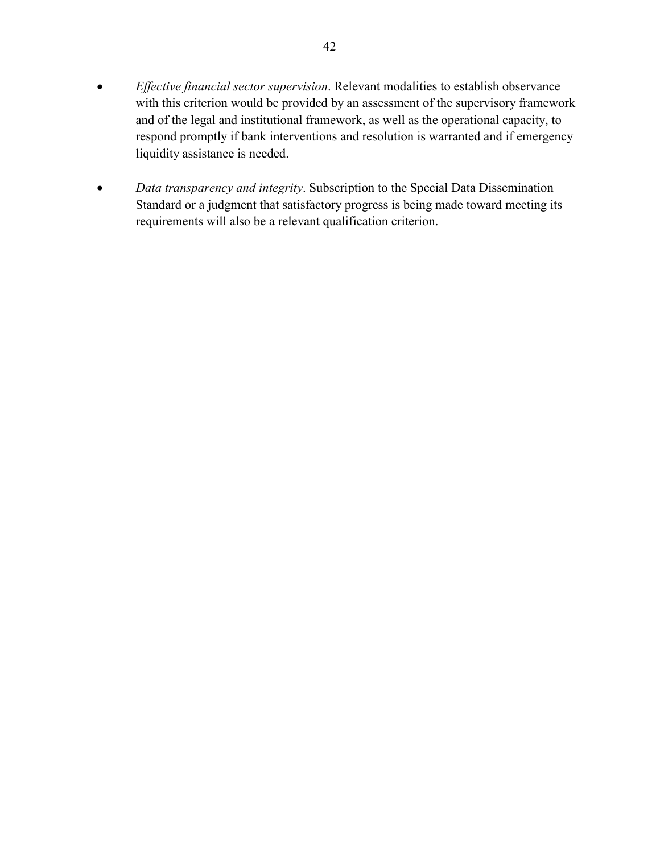- *Effective financial sector supervision*. Relevant modalities to establish observance with this criterion would be provided by an assessment of the supervisory framework and of the legal and institutional framework, as well as the operational capacity, to respond promptly if bank interventions and resolution is warranted and if emergency liquidity assistance is needed.
- *Data transparency and integrity*. Subscription to the Special Data Dissemination Standard or a judgment that satisfactory progress is being made toward meeting its requirements will also be a relevant qualification criterion.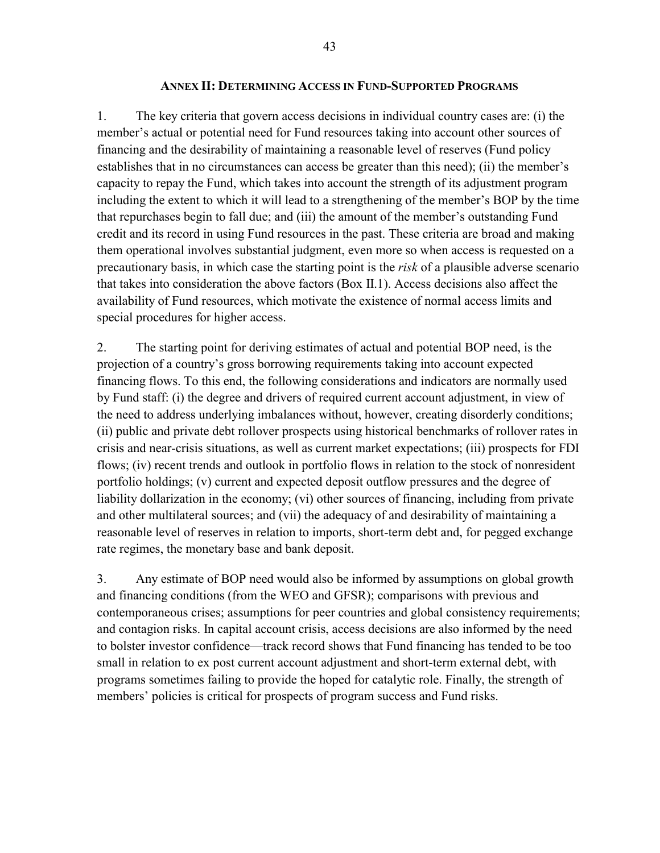#### **ANNEX II: DETERMINING ACCESS IN FUND-SUPPORTED PROGRAMS**

1. The key criteria that govern access decisions in individual country cases are: (i) the member's actual or potential need for Fund resources taking into account other sources of financing and the desirability of maintaining a reasonable level of reserves (Fund policy establishes that in no circumstances can access be greater than this need); (ii) the member's capacity to repay the Fund, which takes into account the strength of its adjustment program including the extent to which it will lead to a strengthening of the member's BOP by the time that repurchases begin to fall due; and (iii) the amount of the member's outstanding Fund credit and its record in using Fund resources in the past. These criteria are broad and making them operational involves substantial judgment, even more so when access is requested on a precautionary basis, in which case the starting point is the *risk* of a plausible adverse scenario that takes into consideration the above factors (Box II.1). Access decisions also affect the availability of Fund resources, which motivate the existence of normal access limits and special procedures for higher access.

2. The starting point for deriving estimates of actual and potential BOP need, is the projection of a country's gross borrowing requirements taking into account expected financing flows. To this end, the following considerations and indicators are normally used by Fund staff: (i) the degree and drivers of required current account adjustment, in view of the need to address underlying imbalances without, however, creating disorderly conditions; (ii) public and private debt rollover prospects using historical benchmarks of rollover rates in crisis and near-crisis situations, as well as current market expectations; (iii) prospects for FDI flows; (iv) recent trends and outlook in portfolio flows in relation to the stock of nonresident portfolio holdings; (v) current and expected deposit outflow pressures and the degree of liability dollarization in the economy; (vi) other sources of financing, including from private and other multilateral sources; and (vii) the adequacy of and desirability of maintaining a reasonable level of reserves in relation to imports, short-term debt and, for pegged exchange rate regimes, the monetary base and bank deposit.

3. Any estimate of BOP need would also be informed by assumptions on global growth and financing conditions (from the WEO and GFSR); comparisons with previous and contemporaneous crises; assumptions for peer countries and global consistency requirements; and contagion risks. In capital account crisis, access decisions are also informed by the need to bolster investor confidence—track record shows that Fund financing has tended to be too small in relation to ex post current account adjustment and short-term external debt, with programs sometimes failing to provide the hoped for catalytic role. Finally, the strength of members' policies is critical for prospects of program success and Fund risks.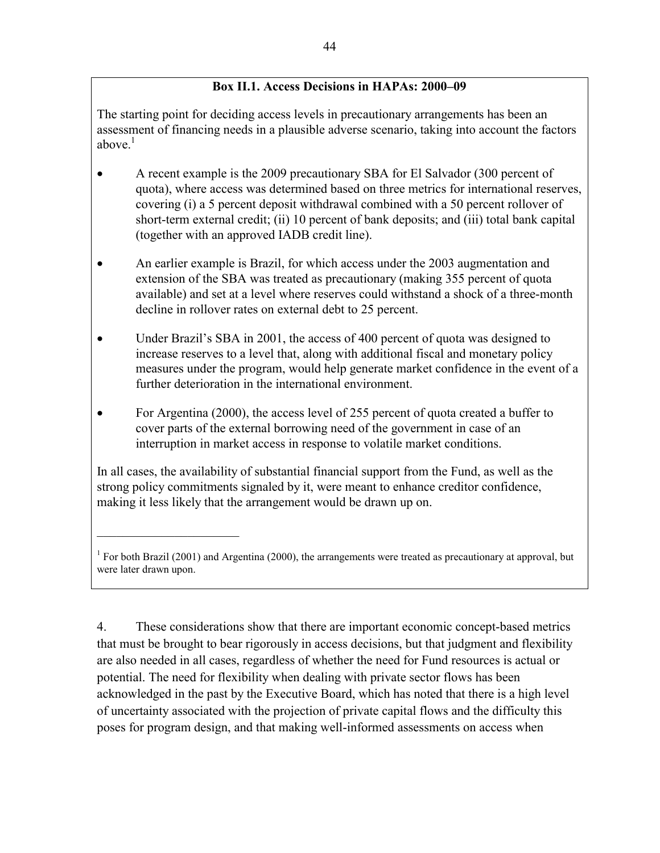## **Box II.1. Access Decisions in HAPAs: 2000–09**

The starting point for deciding access levels in precautionary arrangements has been an assessment of financing needs in a plausible adverse scenario, taking into account the factors above. $<sup>1</sup>$ </sup>

- A recent example is the 2009 precautionary SBA for El Salvador (300 percent of quota), where access was determined based on three metrics for international reserves, covering (i) a 5 percent deposit withdrawal combined with a 50 percent rollover of short-term external credit; (ii) 10 percent of bank deposits; and (iii) total bank capital (together with an approved IADB credit line).
- An earlier example is Brazil, for which access under the 2003 augmentation and extension of the SBA was treated as precautionary (making 355 percent of quota available) and set at a level where reserves could withstand a shock of a three-month decline in rollover rates on external debt to 25 percent.
- Under Brazil's SBA in 2001, the access of 400 percent of quota was designed to increase reserves to a level that, along with additional fiscal and monetary policy measures under the program, would help generate market confidence in the event of a further deterioration in the international environment.
- For Argentina (2000), the access level of 255 percent of quota created a buffer to cover parts of the external borrowing need of the government in case of an interruption in market access in response to volatile market conditions.

In all cases, the availability of substantial financial support from the Fund, as well as the strong policy commitments signaled by it, were meant to enhance creditor confidence, making it less likely that the arrangement would be drawn up on.

 $\mathcal{L}_\text{max}$ 

4. These considerations show that there are important economic concept-based metrics that must be brought to bear rigorously in access decisions, but that judgment and flexibility are also needed in all cases, regardless of whether the need for Fund resources is actual or potential. The need for flexibility when dealing with private sector flows has been acknowledged in the past by the Executive Board, which has noted that there is a high level of uncertainty associated with the projection of private capital flows and the difficulty this poses for program design, and that making well-informed assessments on access when

<sup>&</sup>lt;sup>1</sup> For both Brazil (2001) and Argentina (2000), the arrangements were treated as precautionary at approval, but were later drawn upon.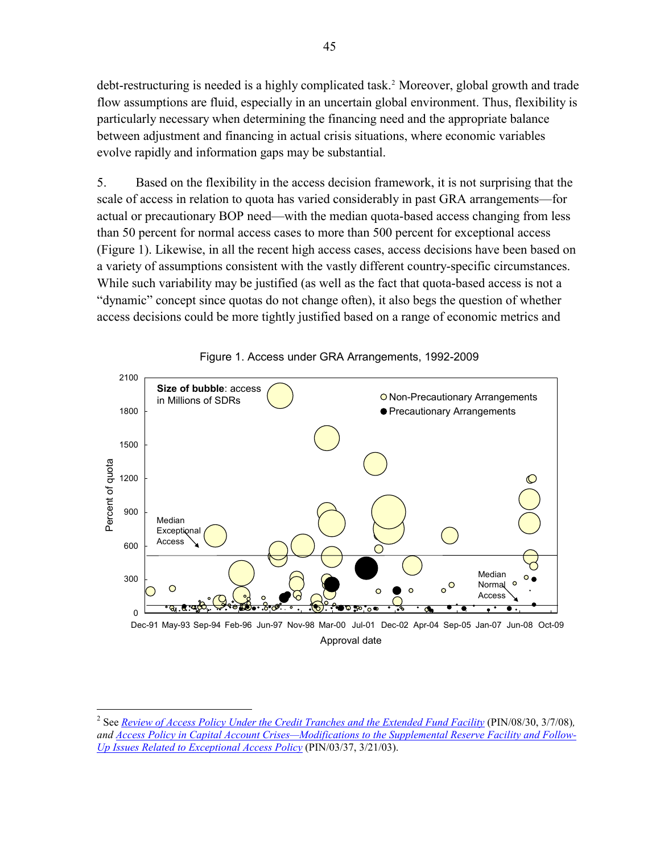debt-restructuring is needed is a highly complicated task.<sup>2</sup> Moreover, global growth and trade flow assumptions are fluid, especially in an uncertain global environment. Thus, flexibility is particularly necessary when determining the financing need and the appropriate balance between adjustment and financing in actual crisis situations, where economic variables evolve rapidly and information gaps may be substantial.

5. Based on the flexibility in the access decision framework, it is not surprising that the scale of access in relation to quota has varied considerably in past GRA arrangements—for actual or precautionary BOP need—with the median quota-based access changing from less than 50 percent for normal access cases to more than 500 percent for exceptional access (Figure 1). Likewise, in all the recent high access cases, access decisions have been based on a variety of assumptions consistent with the vastly different country-specific circumstances. While such variability may be justified (as well as the fact that quota-based access is not a "dynamic" concept since quotas do not change often), it also begs the question of whether access decisions could be more tightly justified based on a range of economic metrics and



Figure 1. Access under GRA Arrangements, 1992-2009

 $\overline{a}$ 

<sup>2</sup> See *[Review of Access Policy Under the Credit Tranches and the Extended Fund Facility](http://www.imf.org/external/np/sec/pn/2008/pn0830.htm)* (PIN/08/30, 3/7/08)*, and [Access Policy in Capital Account Crises—Modifications to the Supplemental Reserve Facility and Follow-](http://www.imf.org/external/np/sec/pn/2003/pn0337.htm)[Up Issues Related to Exceptional Access Policy](http://www.imf.org/external/np/sec/pn/2003/pn0337.htm)* (PIN/03/37, 3/21/03).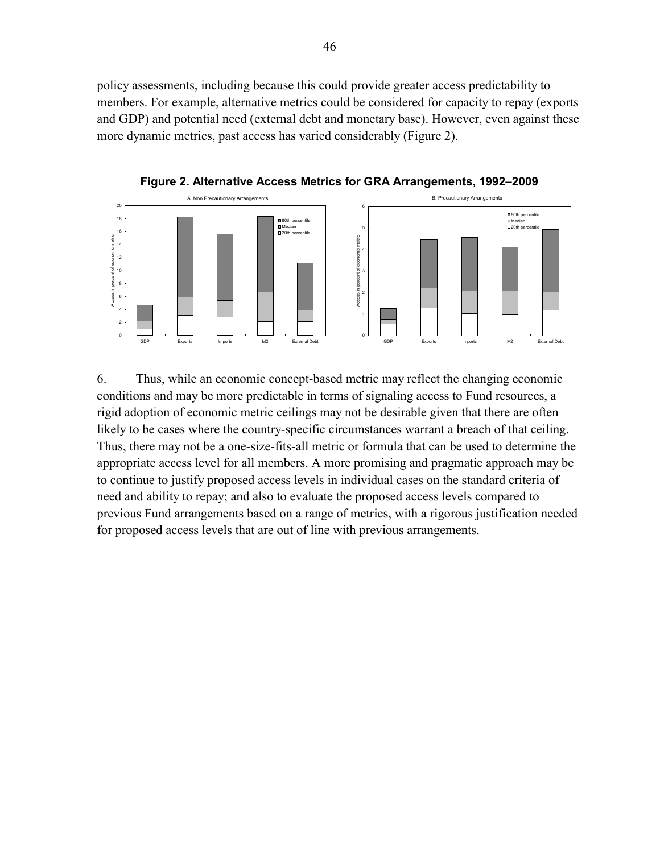policy assessments, including because this could provide greater access predictability to members. For example, alternative metrics could be considered for capacity to repay (exports and GDP) and potential need (external debt and monetary base). However, even against these more dynamic metrics, past access has varied considerably (Figure 2).



**Figure 2. Alternative Access Metrics for GRA Arrangements, 1992–2009** 

6. Thus, while an economic concept-based metric may reflect the changing economic conditions and may be more predictable in terms of signaling access to Fund resources, a rigid adoption of economic metric ceilings may not be desirable given that there are often likely to be cases where the country-specific circumstances warrant a breach of that ceiling. Thus, there may not be a one-size-fits-all metric or formula that can be used to determine the appropriate access level for all members. A more promising and pragmatic approach may be to continue to justify proposed access levels in individual cases on the standard criteria of need and ability to repay; and also to evaluate the proposed access levels compared to previous Fund arrangements based on a range of metrics, with a rigorous justification needed for proposed access levels that are out of line with previous arrangements.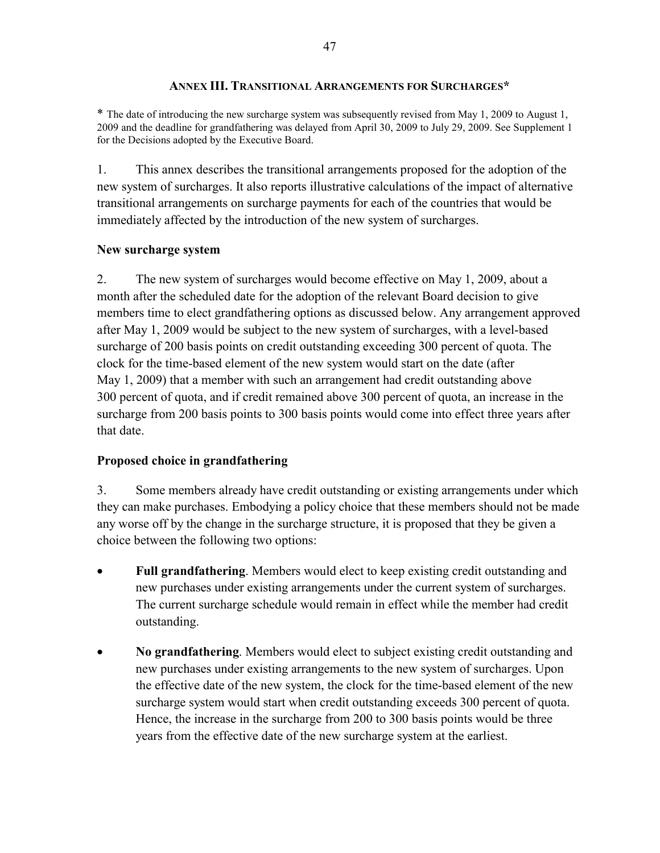## **ANNEX III. TRANSITIONAL ARRANGEMENTS FOR SURCHARGES\***

\* The date of introducing the new surcharge system was subsequently revised from May 1, 2009 to August 1, 2009 and the deadline for grandfathering was delayed from April 30, 2009 to July 29, 2009. See Supplement 1 for the Decisions adopted by the Executive Board.

1. This annex describes the transitional arrangements proposed for the adoption of the new system of surcharges. It also reports illustrative calculations of the impact of alternative transitional arrangements on surcharge payments for each of the countries that would be immediately affected by the introduction of the new system of surcharges.

### **New surcharge system**

2. The new system of surcharges would become effective on May 1, 2009, about a month after the scheduled date for the adoption of the relevant Board decision to give members time to elect grandfathering options as discussed below. Any arrangement approved after May 1, 2009 would be subject to the new system of surcharges, with a level-based surcharge of 200 basis points on credit outstanding exceeding 300 percent of quota. The clock for the time-based element of the new system would start on the date (after May 1, 2009) that a member with such an arrangement had credit outstanding above 300 percent of quota, and if credit remained above 300 percent of quota, an increase in the surcharge from 200 basis points to 300 basis points would come into effect three years after that date.

## **Proposed choice in grandfathering**

3. Some members already have credit outstanding or existing arrangements under which they can make purchases. Embodying a policy choice that these members should not be made any worse off by the change in the surcharge structure, it is proposed that they be given a choice between the following two options:

- **Full grandfathering**. Members would elect to keep existing credit outstanding and new purchases under existing arrangements under the current system of surcharges. The current surcharge schedule would remain in effect while the member had credit outstanding.
- **No grandfathering**. Members would elect to subject existing credit outstanding and new purchases under existing arrangements to the new system of surcharges. Upon the effective date of the new system, the clock for the time-based element of the new surcharge system would start when credit outstanding exceeds 300 percent of quota. Hence, the increase in the surcharge from 200 to 300 basis points would be three years from the effective date of the new surcharge system at the earliest.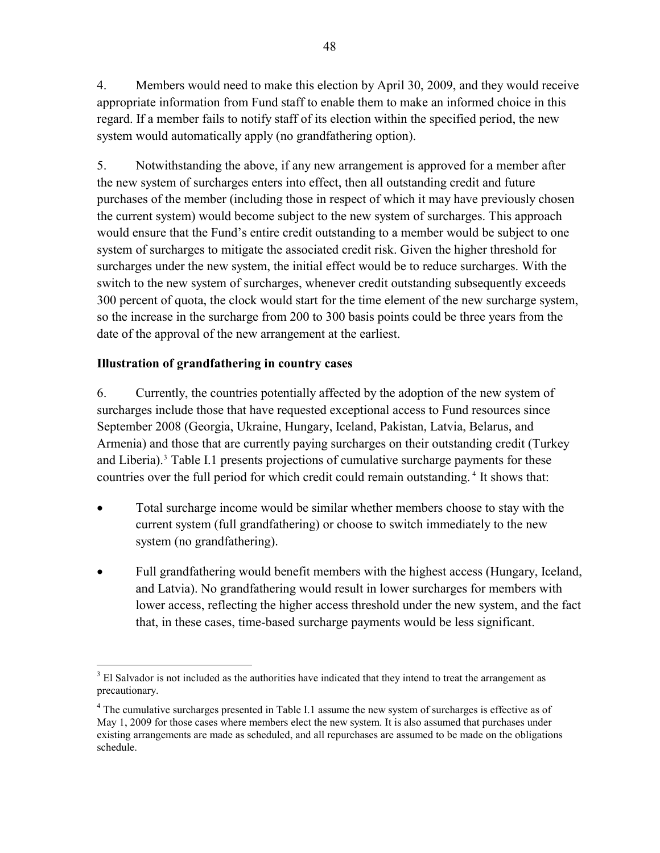<span id="page-47-0"></span>4. Members would need to make this election by April 30, 2009, and they would receive appropriate information from Fund staff to enable them to make an informed choice in this regard. If a member fails to notify staff of its election within the specified period, the new system would automatically apply (no grandfathering option).

5. Notwithstanding the above, if any new arrangement is approved for a member after the new system of surcharges enters into effect, then all outstanding credit and future purchases of the member (including those in respect of which it may have previously chosen the current system) would become subject to the new system of surcharges. This approach would ensure that the Fund's entire credit outstanding to a member would be subject to one system of surcharges to mitigate the associated credit risk. Given the higher threshold for surcharges under the new system, the initial effect would be to reduce surcharges. With the switch to the new system of surcharges, whenever credit outstanding subsequently exceeds 300 percent of quota, the clock would start for the time element of the new surcharge system, so the increase in the surcharge from 200 to 300 basis points could be three years from the date of the approval of the new arrangement at the earliest.

## **Illustration of grandfathering in country cases**

6. Currently, the countries potentially affected by the adoption of the new system of surcharges include those that have requested exceptional access to Fund resources since September 2008 (Georgia, Ukraine, Hungary, Iceland, Pakistan, Latvia, Belarus, and Armenia) and those that are currently paying surcharges on their outstanding credit (Turkey and Liberia).<sup>[3](#page-47-0)</sup> Table I.1 presents projections of cumulative surcharge payments for these countries over the full period for which credit could remain outstanding.<sup>[4](#page-47-0)</sup> It shows that:

- Total surcharge income would be similar whether members choose to stay with the current system (full grandfathering) or choose to switch immediately to the new system (no grandfathering).
- Full grandfathering would benefit members with the highest access (Hungary, Iceland, and Latvia). No grandfathering would result in lower surcharges for members with lower access, reflecting the higher access threshold under the new system, and the fact that, in these cases, time-based surcharge payments would be less significant.

 $\overline{a}$ <sup>3</sup> El Salvador is not included as the authorities have indicated that they intend to treat the arrangement as precautionary.

<sup>&</sup>lt;sup>4</sup> The cumulative surcharges presented in Table I.1 assume the new system of surcharges is effective as of May 1, 2009 for those cases where members elect the new system. It is also assumed that purchases under existing arrangements are made as scheduled, and all repurchases are assumed to be made on the obligations schedule.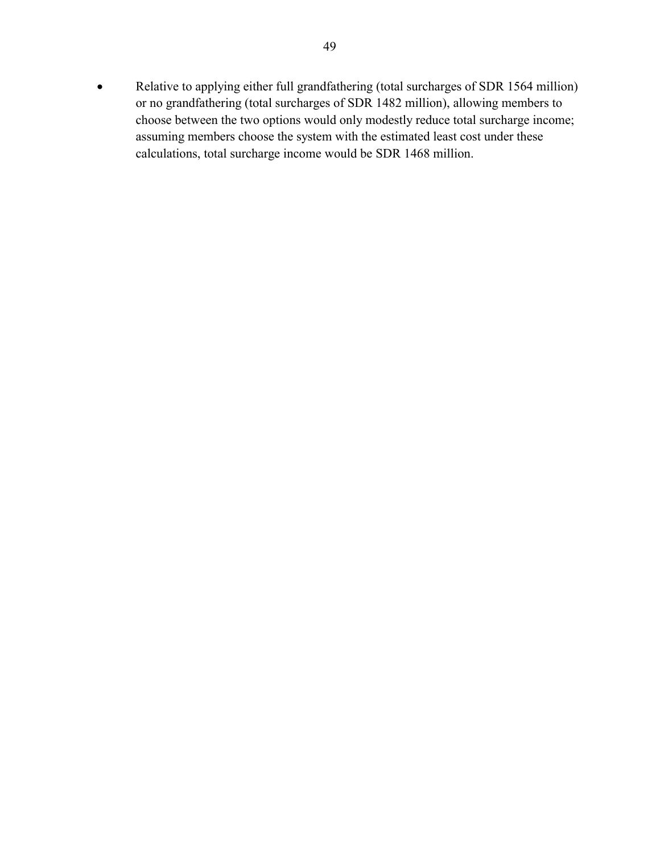• Relative to applying either full grandfathering (total surcharges of SDR 1564 million) or no grandfathering (total surcharges of SDR 1482 million), allowing members to choose between the two options would only modestly reduce total surcharge income; assuming members choose the system with the estimated least cost under these calculations, total surcharge income would be SDR 1468 million.